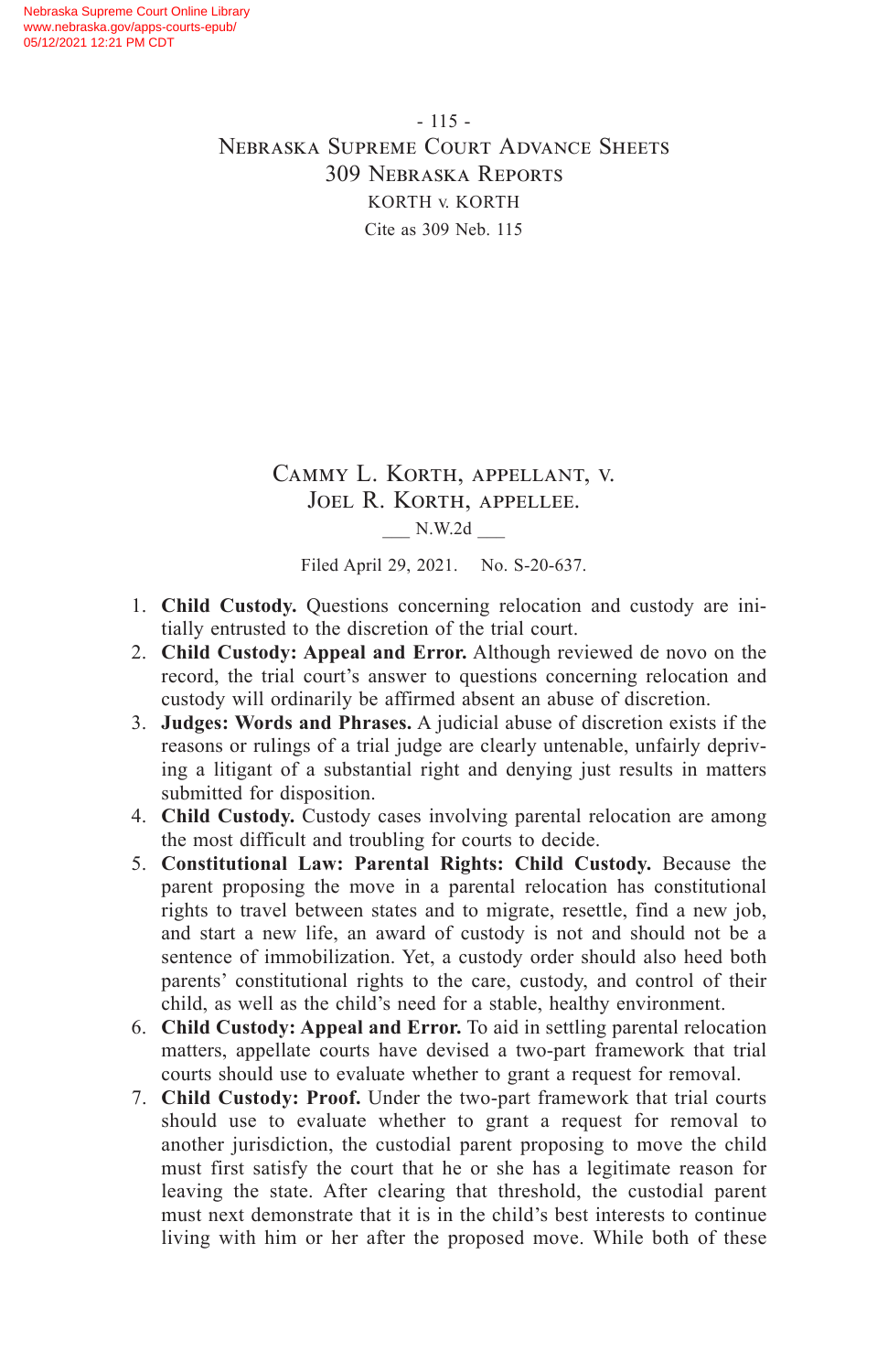- 115 - Nebraska Supreme Court Advance Sheets 309 Nebraska Reports KORTH v. KORTH Cite as 309 Neb. 115

> Cammy L. Korth, appellant, v. Joel R. Korth, appellee. \_\_\_ N.W.2d \_\_\_

Filed April 29, 2021. No. S-20-637.

- 1. **Child Custody.** Questions concerning relocation and custody are initially entrusted to the discretion of the trial court.
- 2. **Child Custody: Appeal and Error.** Although reviewed de novo on the record, the trial court's answer to questions concerning relocation and custody will ordinarily be affirmed absent an abuse of discretion.
- 3. **Judges: Words and Phrases.** A judicial abuse of discretion exists if the reasons or rulings of a trial judge are clearly untenable, unfairly depriving a litigant of a substantial right and denying just results in matters submitted for disposition.
- 4. **Child Custody.** Custody cases involving parental relocation are among the most difficult and troubling for courts to decide.
- 5. **Constitutional Law: Parental Rights: Child Custody.** Because the parent proposing the move in a parental relocation has constitutional rights to travel between states and to migrate, resettle, find a new job, and start a new life, an award of custody is not and should not be a sentence of immobilization. Yet, a custody order should also heed both parents' constitutional rights to the care, custody, and control of their child, as well as the child's need for a stable, healthy environment.
- 6. **Child Custody: Appeal and Error.** To aid in settling parental relocation matters, appellate courts have devised a two-part framework that trial courts should use to evaluate whether to grant a request for removal.
- 7. **Child Custody: Proof.** Under the two-part framework that trial courts should use to evaluate whether to grant a request for removal to another jurisdiction, the custodial parent proposing to move the child must first satisfy the court that he or she has a legitimate reason for leaving the state. After clearing that threshold, the custodial parent must next demonstrate that it is in the child's best interests to continue living with him or her after the proposed move. While both of these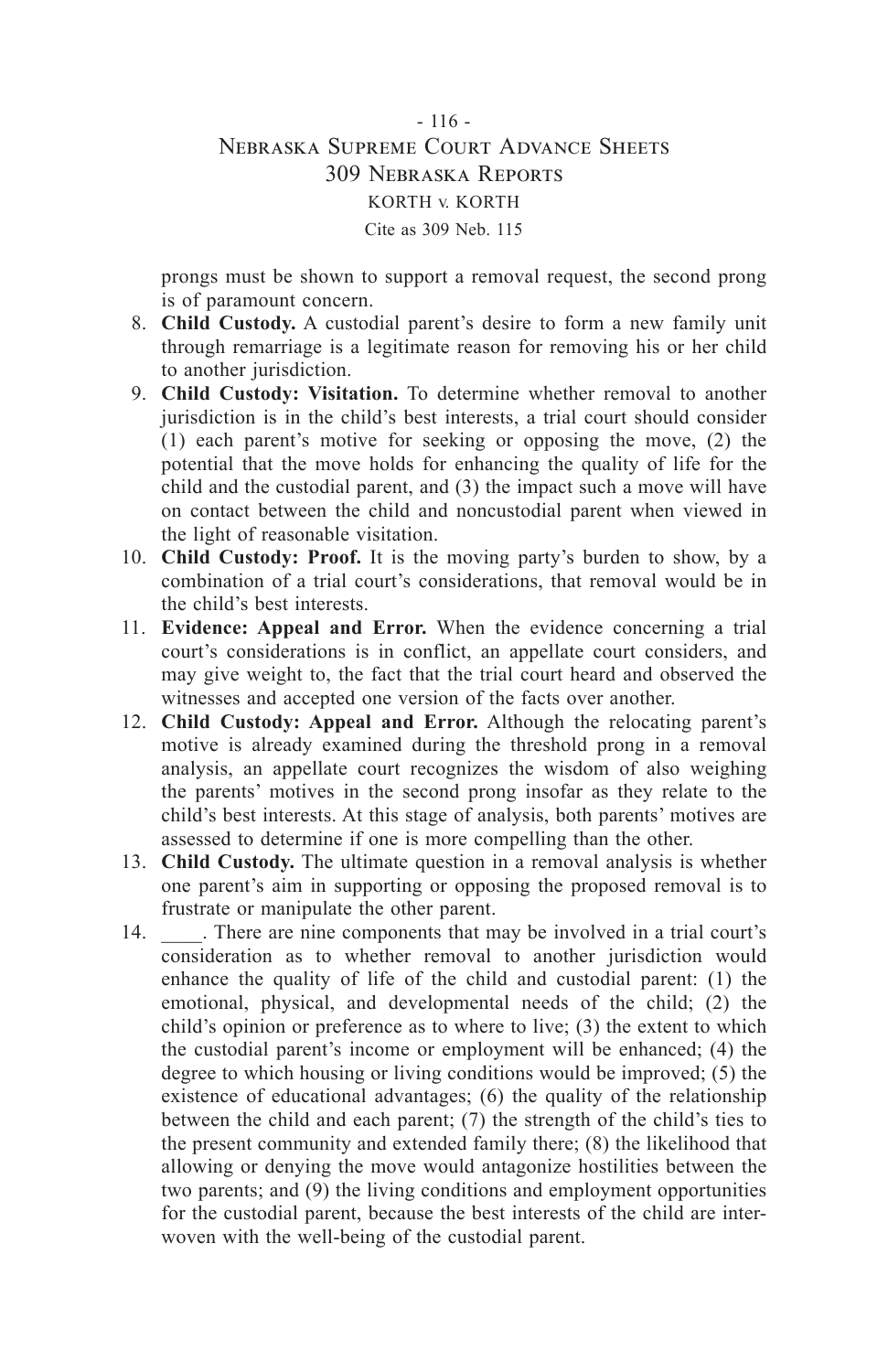# - 116 - Nebraska Supreme Court Advance Sheets 309 Nebraska Reports KORTH v. KORTH Cite as 309 Neb. 115

prongs must be shown to support a removal request, the second prong is of paramount concern.

- 8. **Child Custody.** A custodial parent's desire to form a new family unit through remarriage is a legitimate reason for removing his or her child to another jurisdiction.
- 9. **Child Custody: Visitation.** To determine whether removal to another jurisdiction is in the child's best interests, a trial court should consider (1) each parent's motive for seeking or opposing the move, (2) the potential that the move holds for enhancing the quality of life for the child and the custodial parent, and (3) the impact such a move will have on contact between the child and noncustodial parent when viewed in the light of reasonable visitation.
- 10. **Child Custody: Proof.** It is the moving party's burden to show, by a combination of a trial court's considerations, that removal would be in the child's best interests.
- 11. **Evidence: Appeal and Error.** When the evidence concerning a trial court's considerations is in conflict, an appellate court considers, and may give weight to, the fact that the trial court heard and observed the witnesses and accepted one version of the facts over another.
- 12. **Child Custody: Appeal and Error.** Although the relocating parent's motive is already examined during the threshold prong in a removal analysis, an appellate court recognizes the wisdom of also weighing the parents' motives in the second prong insofar as they relate to the child's best interests. At this stage of analysis, both parents' motives are assessed to determine if one is more compelling than the other.
- 13. **Child Custody.** The ultimate question in a removal analysis is whether one parent's aim in supporting or opposing the proposed removal is to frustrate or manipulate the other parent.
- 14. There are nine components that may be involved in a trial court's consideration as to whether removal to another jurisdiction would enhance the quality of life of the child and custodial parent: (1) the emotional, physical, and developmental needs of the child; (2) the child's opinion or preference as to where to live; (3) the extent to which the custodial parent's income or employment will be enhanced; (4) the degree to which housing or living conditions would be improved; (5) the existence of educational advantages; (6) the quality of the relationship between the child and each parent; (7) the strength of the child's ties to the present community and extended family there; (8) the likelihood that allowing or denying the move would antagonize hostilities between the two parents; and (9) the living conditions and employment opportunities for the custodial parent, because the best interests of the child are interwoven with the well-being of the custodial parent.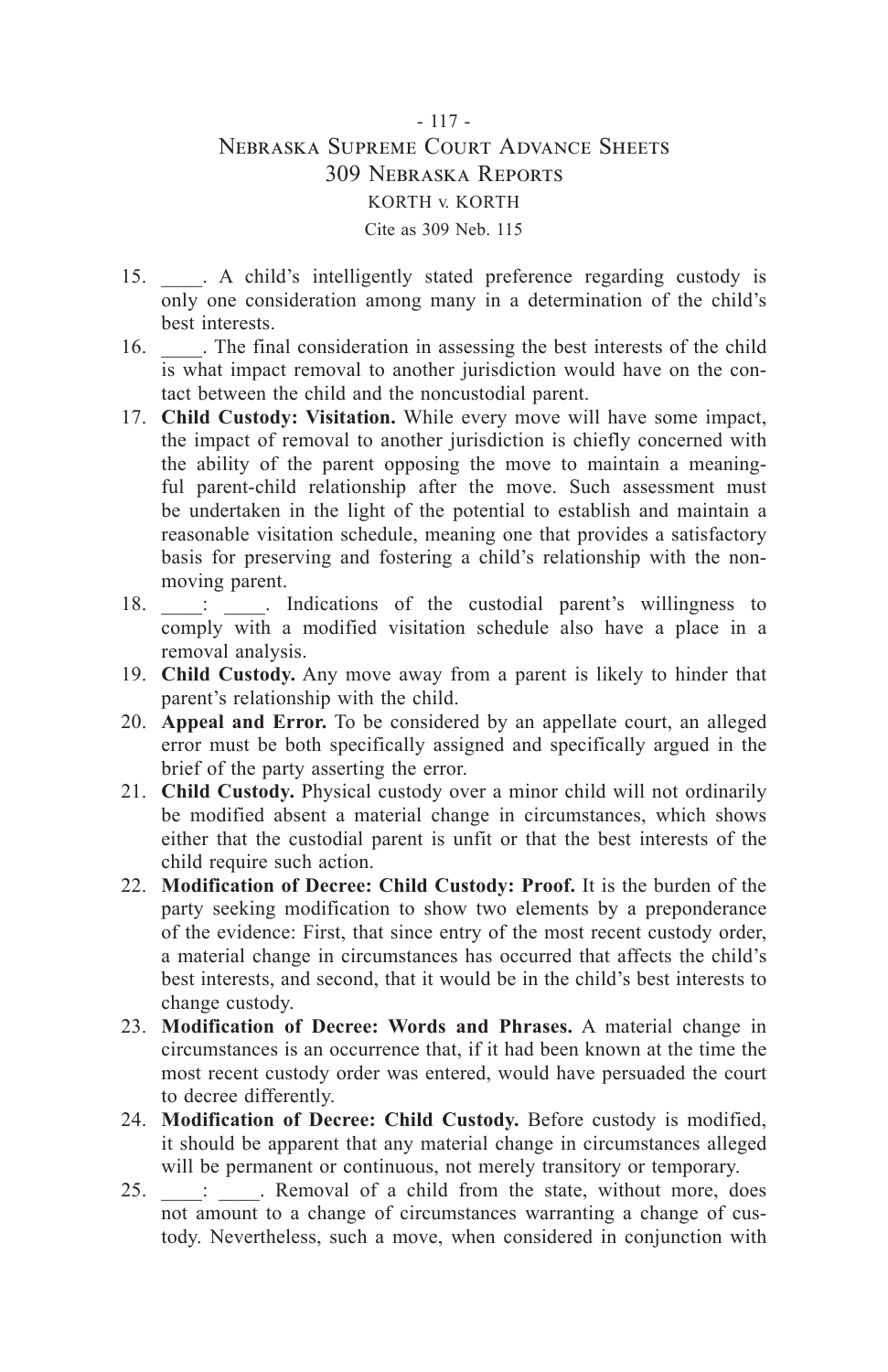# - 117 - Nebraska Supreme Court Advance Sheets 309 Nebraska Reports KORTH v. KORTH Cite as 309 Neb. 115

- 15. \_\_\_\_. A child's intelligently stated preference regarding custody is only one consideration among many in a determination of the child's best interests.
- 16. \_\_\_\_. The final consideration in assessing the best interests of the child is what impact removal to another jurisdiction would have on the contact between the child and the noncustodial parent.
- 17. **Child Custody: Visitation.** While every move will have some impact, the impact of removal to another jurisdiction is chiefly concerned with the ability of the parent opposing the move to maintain a meaningful parent-child relationship after the move. Such assessment must be undertaken in the light of the potential to establish and maintain a reasonable visitation schedule, meaning one that provides a satisfactory basis for preserving and fostering a child's relationship with the nonmoving parent.
- 18.  $\vdots$  . Indications of the custodial parent's willingness to comply with a modified visitation schedule also have a place in a removal analysis.
- 19. **Child Custody.** Any move away from a parent is likely to hinder that parent's relationship with the child.
- 20. **Appeal and Error.** To be considered by an appellate court, an alleged error must be both specifically assigned and specifically argued in the brief of the party asserting the error.
- 21. **Child Custody.** Physical custody over a minor child will not ordinarily be modified absent a material change in circumstances, which shows either that the custodial parent is unfit or that the best interests of the child require such action.
- 22. **Modification of Decree: Child Custody: Proof.** It is the burden of the party seeking modification to show two elements by a preponderance of the evidence: First, that since entry of the most recent custody order, a material change in circumstances has occurred that affects the child's best interests, and second, that it would be in the child's best interests to change custody.
- 23. **Modification of Decree: Words and Phrases.** A material change in circumstances is an occurrence that, if it had been known at the time the most recent custody order was entered, would have persuaded the court to decree differently.
- 24. **Modification of Decree: Child Custody.** Before custody is modified, it should be apparent that any material change in circumstances alleged will be permanent or continuous, not merely transitory or temporary.
- 25. \_\_\_: \_\_\_. Removal of a child from the state, without more, does not amount to a change of circumstances warranting a change of custody. Nevertheless, such a move, when considered in conjunction with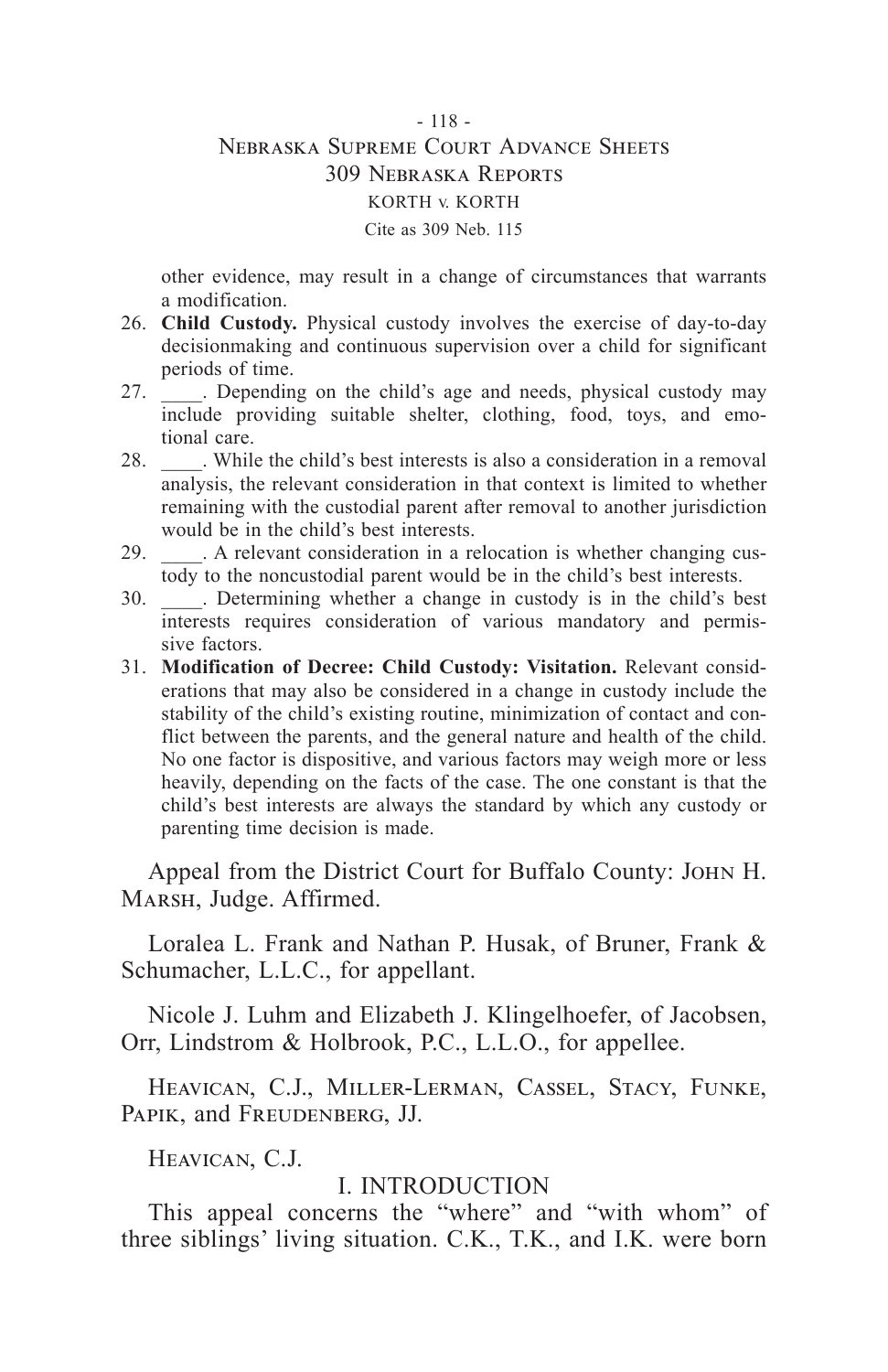# - 118 - Nebraska Supreme Court Advance Sheets 309 Nebraska Reports KORTH v. KORTH Cite as 309 Neb. 115

other evidence, may result in a change of circumstances that warrants a modification.

- 26. **Child Custody.** Physical custody involves the exercise of day-to-day decisionmaking and continuous supervision over a child for significant periods of time.
- 27. \_\_\_\_. Depending on the child's age and needs, physical custody may include providing suitable shelter, clothing, food, toys, and emotional care.
- 28. \_\_\_\_. While the child's best interests is also a consideration in a removal analysis, the relevant consideration in that context is limited to whether remaining with the custodial parent after removal to another jurisdiction would be in the child's best interests.
- 29. \_\_\_\_. A relevant consideration in a relocation is whether changing custody to the noncustodial parent would be in the child's best interests.
- 30. \_\_\_\_. Determining whether a change in custody is in the child's best interests requires consideration of various mandatory and permissive factors.
- 31. **Modification of Decree: Child Custody: Visitation.** Relevant considerations that may also be considered in a change in custody include the stability of the child's existing routine, minimization of contact and conflict between the parents, and the general nature and health of the child. No one factor is dispositive, and various factors may weigh more or less heavily, depending on the facts of the case. The one constant is that the child's best interests are always the standard by which any custody or parenting time decision is made.

Appeal from the District Court for Buffalo County: John H. Marsh, Judge. Affirmed.

Loralea L. Frank and Nathan P. Husak, of Bruner, Frank & Schumacher, L.L.C., for appellant.

Nicole J. Luhm and Elizabeth J. Klingelhoefer, of Jacobsen, Orr, Lindstrom & Holbrook, P.C., L.L.O., for appellee.

Heavican, C.J., Miller-Lerman, Cassel, Stacy, Funke, Papik, and Freudenberg, JJ.

Heavican, C.J.

# I. INTRODUCTION

This appeal concerns the "where" and "with whom" of three siblings' living situation. C.K., T.K., and I.K. were born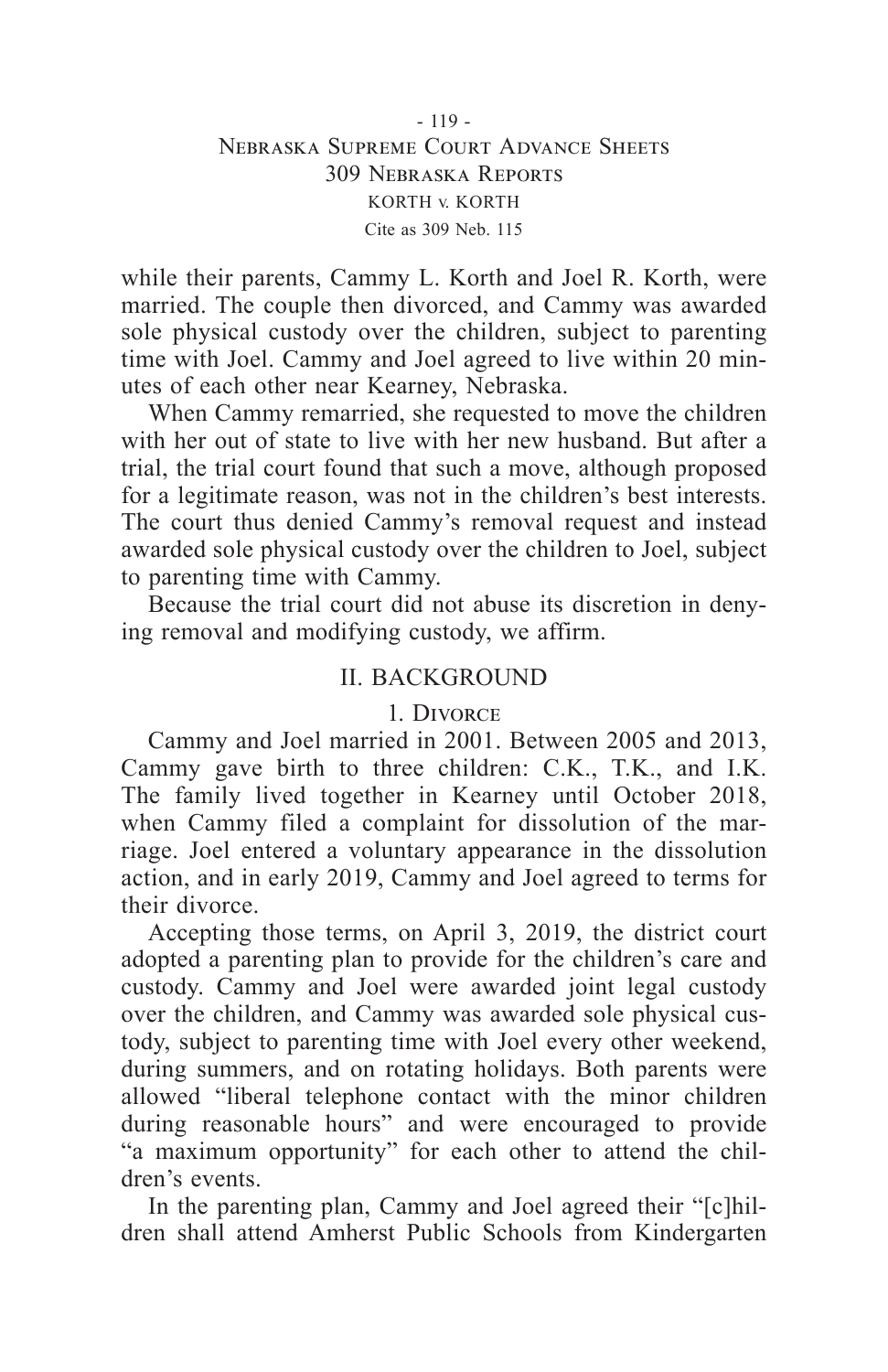while their parents, Cammy L. Korth and Joel R. Korth, were married. The couple then divorced, and Cammy was awarded sole physical custody over the children, subject to parenting time with Joel. Cammy and Joel agreed to live within 20 minutes of each other near Kearney, Nebraska.

When Cammy remarried, she requested to move the children with her out of state to live with her new husband. But after a trial, the trial court found that such a move, although proposed for a legitimate reason, was not in the children's best interests. The court thus denied Cammy's removal request and instead awarded sole physical custody over the children to Joel, subject to parenting time with Cammy.

Because the trial court did not abuse its discretion in denying removal and modifying custody, we affirm.

# II. BACKGROUND

# 1. Divorce

Cammy and Joel married in 2001. Between 2005 and 2013, Cammy gave birth to three children: C.K., T.K., and I.K. The family lived together in Kearney until October 2018, when Cammy filed a complaint for dissolution of the marriage. Joel entered a voluntary appearance in the dissolution action, and in early 2019, Cammy and Joel agreed to terms for their divorce.

Accepting those terms, on April 3, 2019, the district court adopted a parenting plan to provide for the children's care and custody. Cammy and Joel were awarded joint legal custody over the children, and Cammy was awarded sole physical custody, subject to parenting time with Joel every other weekend, during summers, and on rotating holidays. Both parents were allowed "liberal telephone contact with the minor children during reasonable hours" and were encouraged to provide "a maximum opportunity" for each other to attend the children's events.

In the parenting plan, Cammy and Joel agreed their "[c]hildren shall attend Amherst Public Schools from Kindergarten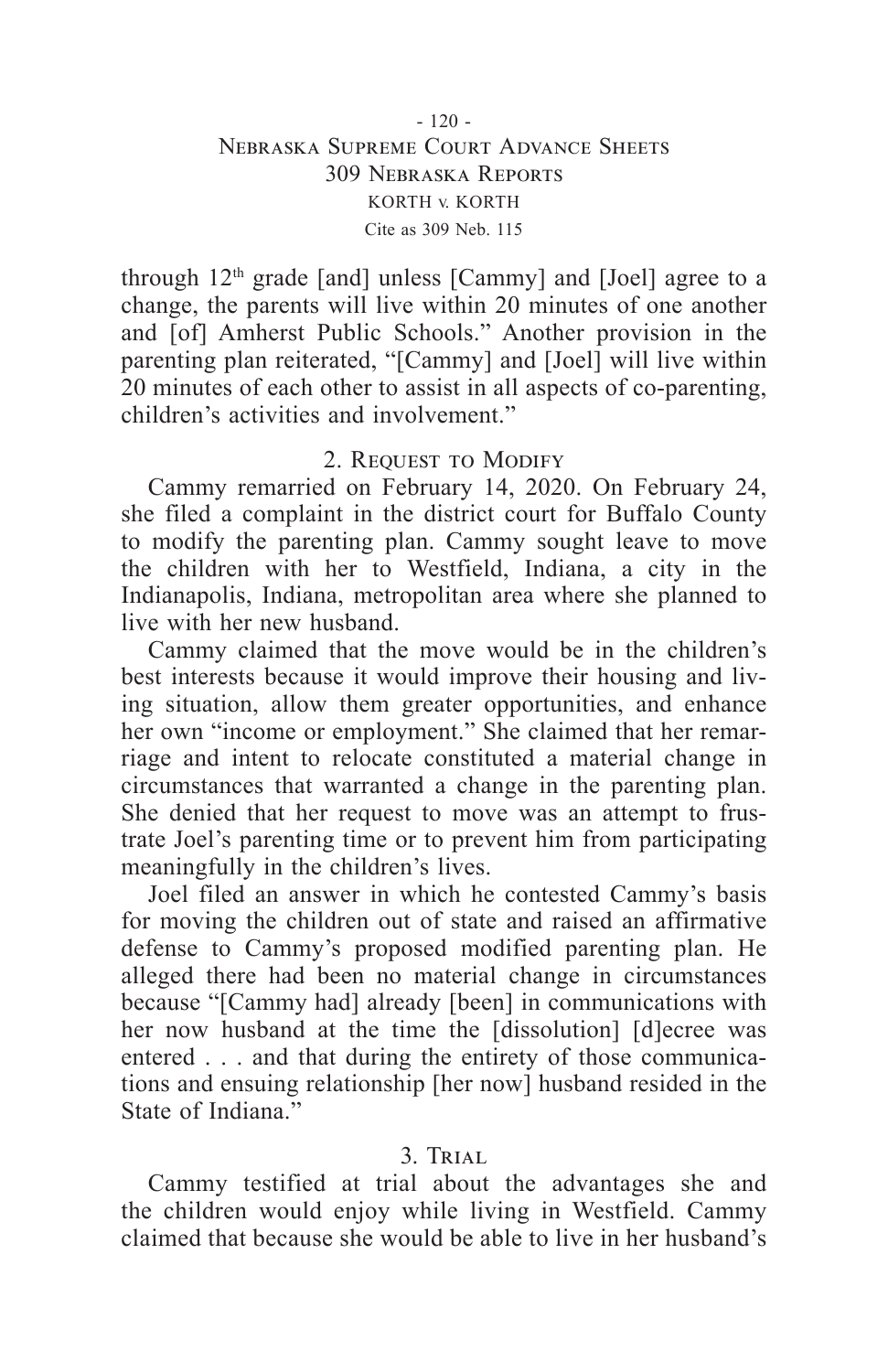# - 120 - Nebraska Supreme Court Advance Sheets 309 Nebraska Reports KORTH v. KORTH Cite as 309 Neb. 115

through  $12<sup>th</sup>$  grade [and] unless [Cammy] and [Joel] agree to a change, the parents will live within 20 minutes of one another and [of] Amherst Public Schools." Another provision in the parenting plan reiterated, "[Cammy] and [Joel] will live within 20 minutes of each other to assist in all aspects of co-parenting, children's activities and involvement."

## 2. Request to Modify

Cammy remarried on February 14, 2020. On February 24, she filed a complaint in the district court for Buffalo County to modify the parenting plan. Cammy sought leave to move the children with her to Westfield, Indiana, a city in the Indianapolis, Indiana, metropolitan area where she planned to live with her new husband.

Cammy claimed that the move would be in the children's best interests because it would improve their housing and living situation, allow them greater opportunities, and enhance her own "income or employment." She claimed that her remarriage and intent to relocate constituted a material change in circumstances that warranted a change in the parenting plan. She denied that her request to move was an attempt to frustrate Joel's parenting time or to prevent him from participating meaningfully in the children's lives.

Joel filed an answer in which he contested Cammy's basis for moving the children out of state and raised an affirmative defense to Cammy's proposed modified parenting plan. He alleged there had been no material change in circumstances because "[Cammy had] already [been] in communications with her now husband at the time the [dissolution] [d]ecree was entered . . . and that during the entirety of those communications and ensuing relationship [her now] husband resided in the State of Indiana."

## 3. Trial

Cammy testified at trial about the advantages she and the children would enjoy while living in Westfield. Cammy claimed that because she would be able to live in her husband's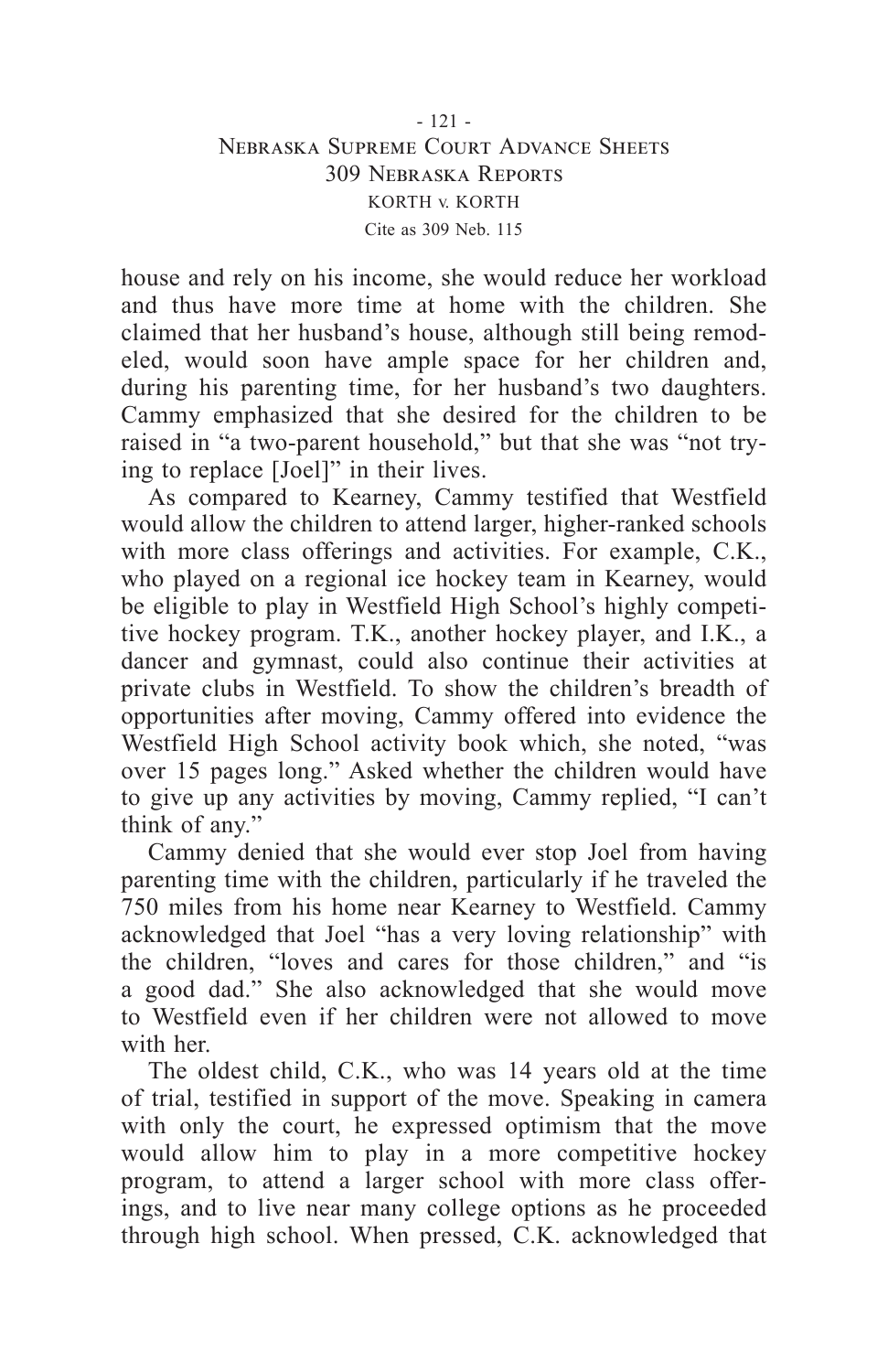## - 121 - Nebraska Supreme Court Advance Sheets 309 Nebraska Reports KORTH v. KORTH Cite as 309 Neb. 115

house and rely on his income, she would reduce her workload and thus have more time at home with the children. She claimed that her husband's house, although still being remodeled, would soon have ample space for her children and, during his parenting time, for her husband's two daughters. Cammy emphasized that she desired for the children to be raised in "a two-parent household," but that she was "not trying to replace [Joel]" in their lives.

As compared to Kearney, Cammy testified that Westfield would allow the children to attend larger, higher-ranked schools with more class offerings and activities. For example, C.K., who played on a regional ice hockey team in Kearney, would be eligible to play in Westfield High School's highly competitive hockey program. T.K., another hockey player, and I.K., a dancer and gymnast, could also continue their activities at private clubs in Westfield. To show the children's breadth of opportunities after moving, Cammy offered into evidence the Westfield High School activity book which, she noted, "was over 15 pages long." Asked whether the children would have to give up any activities by moving, Cammy replied, "I can't think of any."

Cammy denied that she would ever stop Joel from having parenting time with the children, particularly if he traveled the 750 miles from his home near Kearney to Westfield. Cammy acknowledged that Joel "has a very loving relationship" with the children, "loves and cares for those children," and "is a good dad." She also acknowledged that she would move to Westfield even if her children were not allowed to move with her.

The oldest child, C.K., who was 14 years old at the time of trial, testified in support of the move. Speaking in camera with only the court, he expressed optimism that the move would allow him to play in a more competitive hockey program, to attend a larger school with more class offerings, and to live near many college options as he proceeded through high school. When pressed, C.K. acknowledged that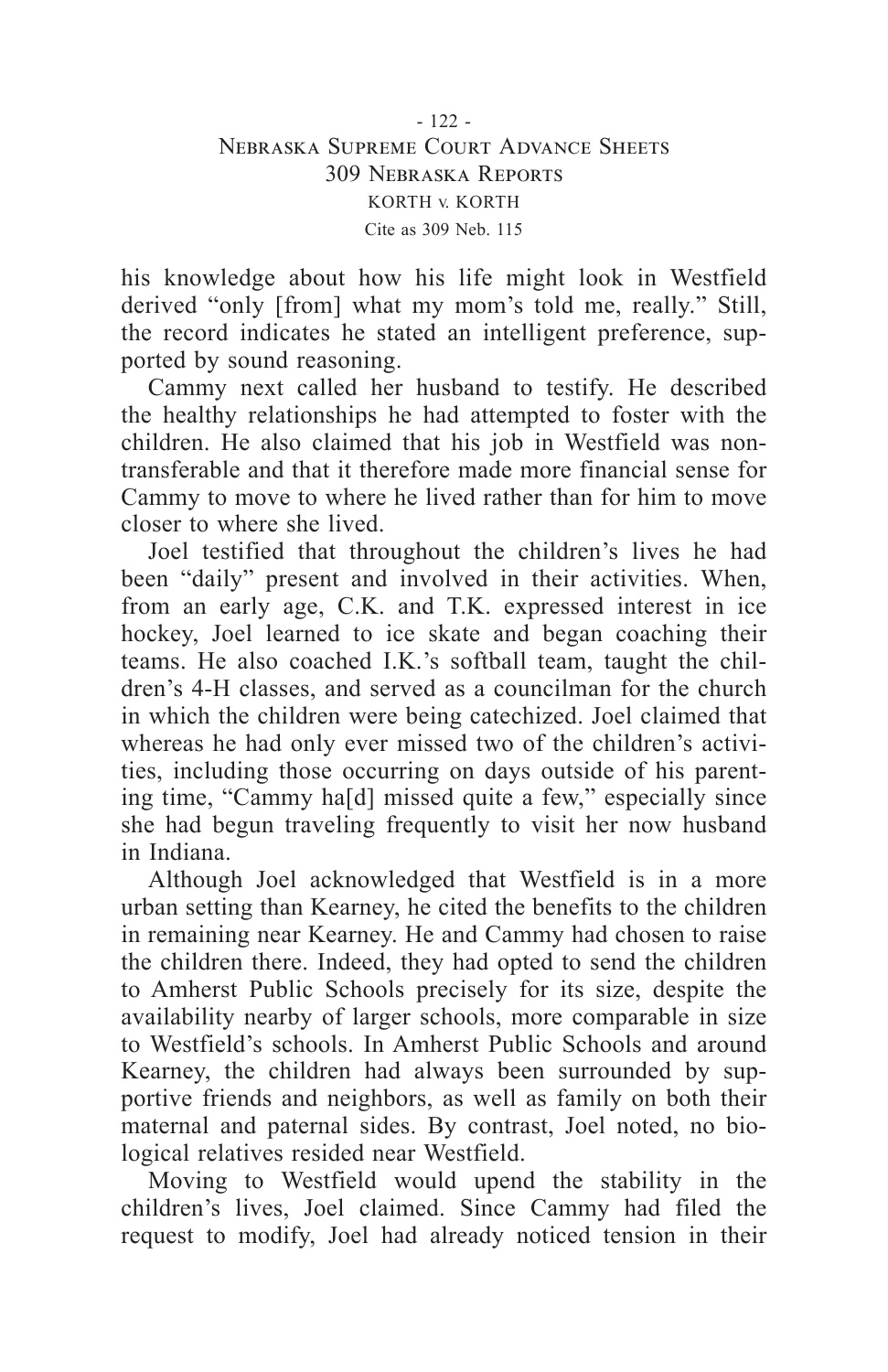his knowledge about how his life might look in Westfield derived "only [from] what my mom's told me, really." Still, the record indicates he stated an intelligent preference, supported by sound reasoning.

Cammy next called her husband to testify. He described the healthy relationships he had attempted to foster with the children. He also claimed that his job in Westfield was nontransferable and that it therefore made more financial sense for Cammy to move to where he lived rather than for him to move closer to where she lived.

Joel testified that throughout the children's lives he had been "daily" present and involved in their activities. When, from an early age, C.K. and T.K. expressed interest in ice hockey, Joel learned to ice skate and began coaching their teams. He also coached I.K.'s softball team, taught the children's 4-H classes, and served as a councilman for the church in which the children were being catechized. Joel claimed that whereas he had only ever missed two of the children's activities, including those occurring on days outside of his parenting time, "Cammy ha[d] missed quite a few," especially since she had begun traveling frequently to visit her now husband in Indiana.

Although Joel acknowledged that Westfield is in a more urban setting than Kearney, he cited the benefits to the children in remaining near Kearney. He and Cammy had chosen to raise the children there. Indeed, they had opted to send the children to Amherst Public Schools precisely for its size, despite the availability nearby of larger schools, more comparable in size to Westfield's schools. In Amherst Public Schools and around Kearney, the children had always been surrounded by supportive friends and neighbors, as well as family on both their maternal and paternal sides. By contrast, Joel noted, no biological relatives resided near Westfield.

Moving to Westfield would upend the stability in the children's lives, Joel claimed. Since Cammy had filed the request to modify, Joel had already noticed tension in their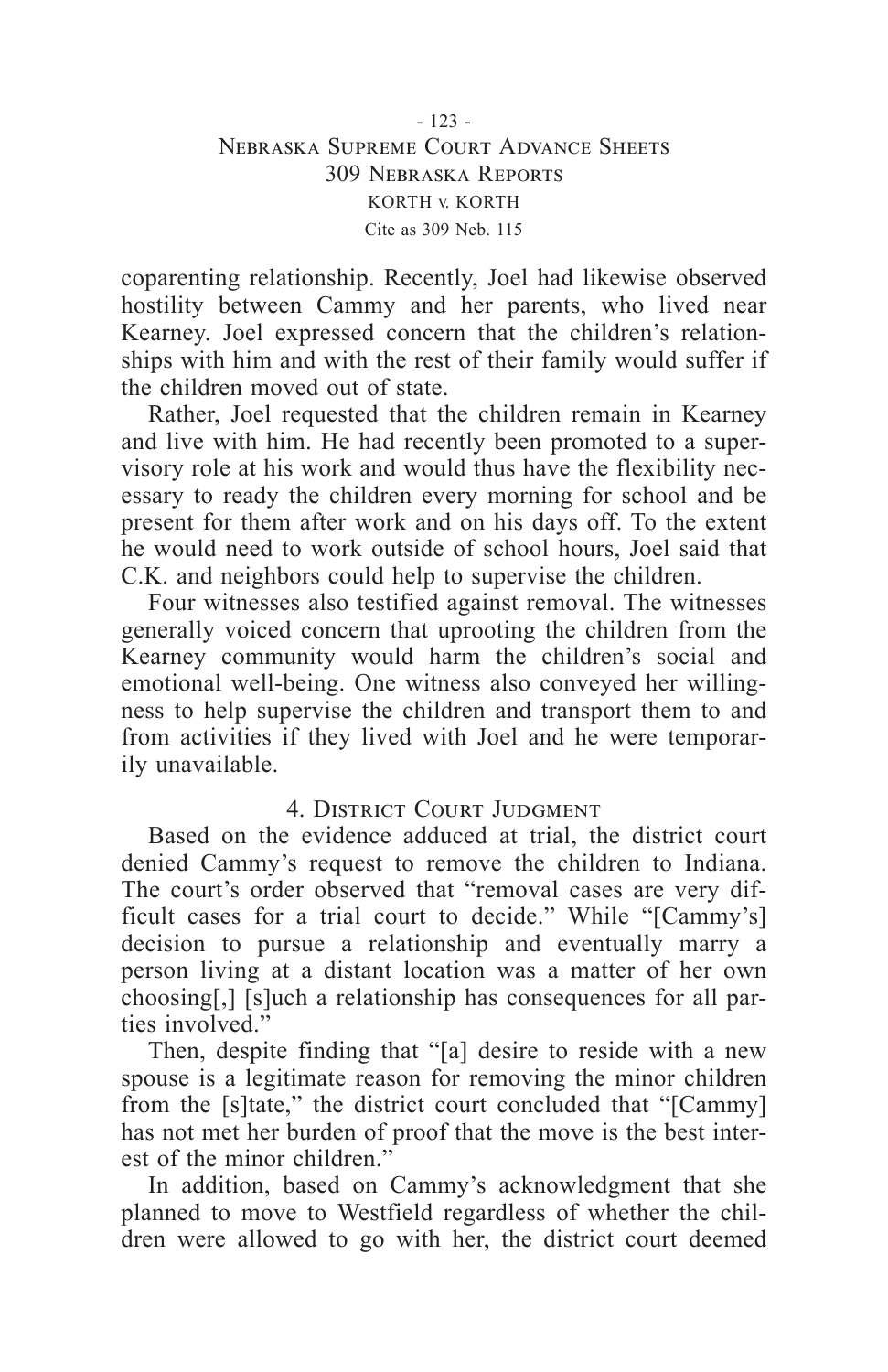- 123 - Nebraska Supreme Court Advance Sheets 309 Nebraska Reports KORTH v. KORTH Cite as 309 Neb. 115

coparenting relationship. Recently, Joel had likewise observed hostility between Cammy and her parents, who lived near Kearney. Joel expressed concern that the children's relationships with him and with the rest of their family would suffer if the children moved out of state.

Rather, Joel requested that the children remain in Kearney and live with him. He had recently been promoted to a supervisory role at his work and would thus have the flexibility necessary to ready the children every morning for school and be present for them after work and on his days off. To the extent he would need to work outside of school hours, Joel said that C.K. and neighbors could help to supervise the children.

Four witnesses also testified against removal. The witnesses generally voiced concern that uprooting the children from the Kearney community would harm the children's social and emotional well-being. One witness also conveyed her willingness to help supervise the children and transport them to and from activities if they lived with Joel and he were temporarily unavailable.

## 4. DISTRICT COURT JUDGMENT

Based on the evidence adduced at trial, the district court denied Cammy's request to remove the children to Indiana. The court's order observed that "removal cases are very difficult cases for a trial court to decide." While "[Cammy's] decision to pursue a relationship and eventually marry a person living at a distant location was a matter of her own choosing[,] [s]uch a relationship has consequences for all parties involved."

Then, despite finding that "[a] desire to reside with a new spouse is a legitimate reason for removing the minor children from the [s]tate," the district court concluded that "[Cammy] has not met her burden of proof that the move is the best interest of the minor children."

In addition, based on Cammy's acknowledgment that she planned to move to Westfield regardless of whether the children were allowed to go with her, the district court deemed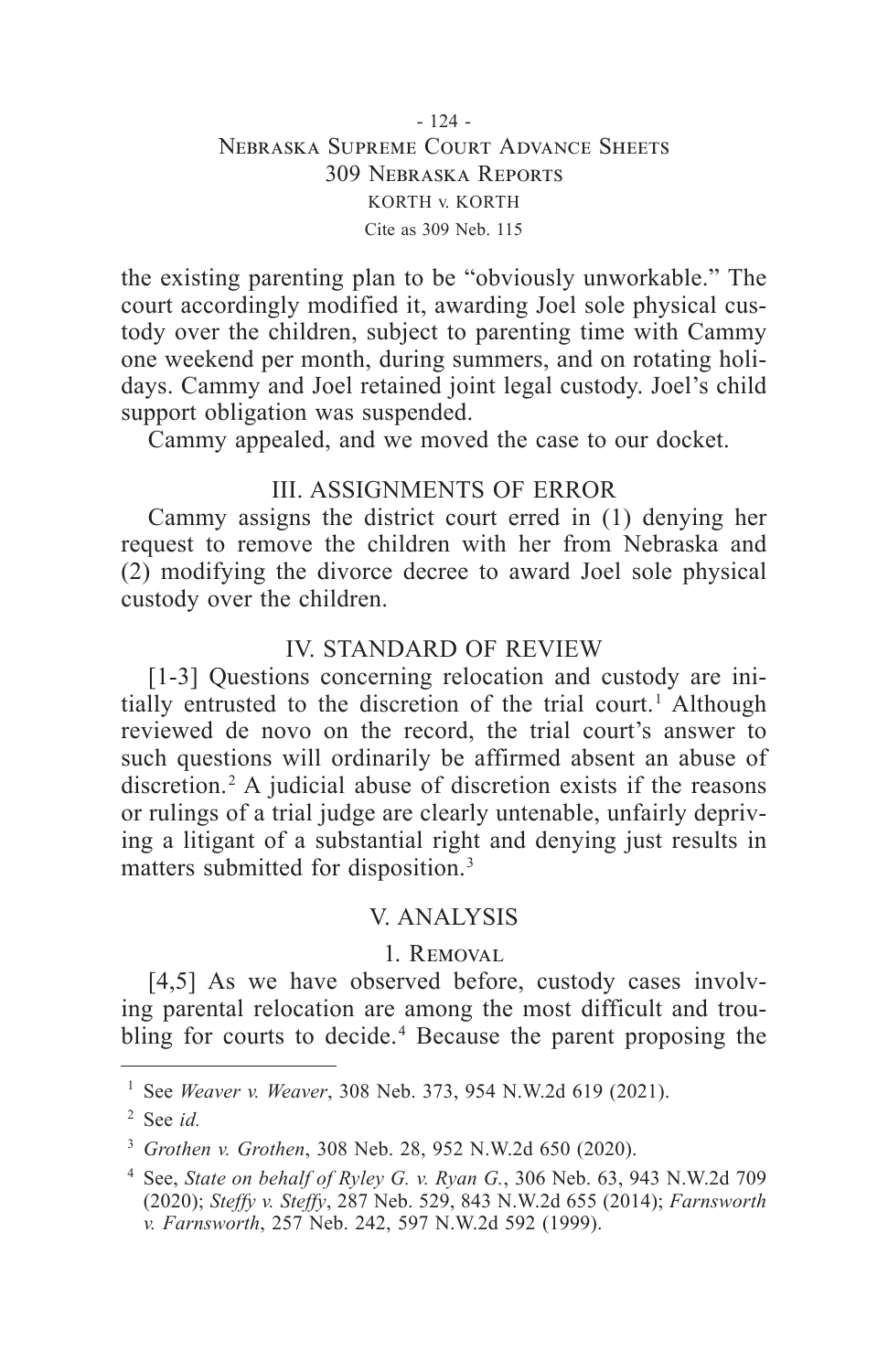# - 124 - Nebraska Supreme Court Advance Sheets 309 Nebraska Reports KORTH v. KORTH Cite as 309 Neb. 115

the existing parenting plan to be "obviously unworkable." The court accordingly modified it, awarding Joel sole physical custody over the children, subject to parenting time with Cammy one weekend per month, during summers, and on rotating holidays. Cammy and Joel retained joint legal custody. Joel's child support obligation was suspended.

Cammy appealed, and we moved the case to our docket.

# III. ASSIGNMENTS OF ERROR

Cammy assigns the district court erred in (1) denying her request to remove the children with her from Nebraska and (2) modifying the divorce decree to award Joel sole physical custody over the children.

# IV. STANDARD OF REVIEW

[1-3] Questions concerning relocation and custody are initially entrusted to the discretion of the trial court.<sup>1</sup> Although reviewed de novo on the record, the trial court's answer to such questions will ordinarily be affirmed absent an abuse of discretion.<sup>2</sup> A judicial abuse of discretion exists if the reasons or rulings of a trial judge are clearly untenable, unfairly depriving a litigant of a substantial right and denying just results in matters submitted for disposition.<sup>3</sup>

## V. ANALYSIS

## 1. Removal

[4,5] As we have observed before, custody cases involving parental relocation are among the most difficult and troubling for courts to decide.<sup>4</sup> Because the parent proposing the

<sup>1</sup> See *Weaver v. Weaver*, 308 Neb. 373, 954 N.W.2d 619 (2021).

<sup>2</sup> See *id.*

<sup>3</sup> *Grothen v. Grothen*, 308 Neb. 28, 952 N.W.2d 650 (2020).

<sup>4</sup> See, *State on behalf of Ryley G. v. Ryan G.*, 306 Neb. 63, 943 N.W.2d 709 (2020); *Steffy v. Steffy*, 287 Neb. 529, 843 N.W.2d 655 (2014); *Farnsworth v. Farnsworth*, 257 Neb. 242, 597 N.W.2d 592 (1999).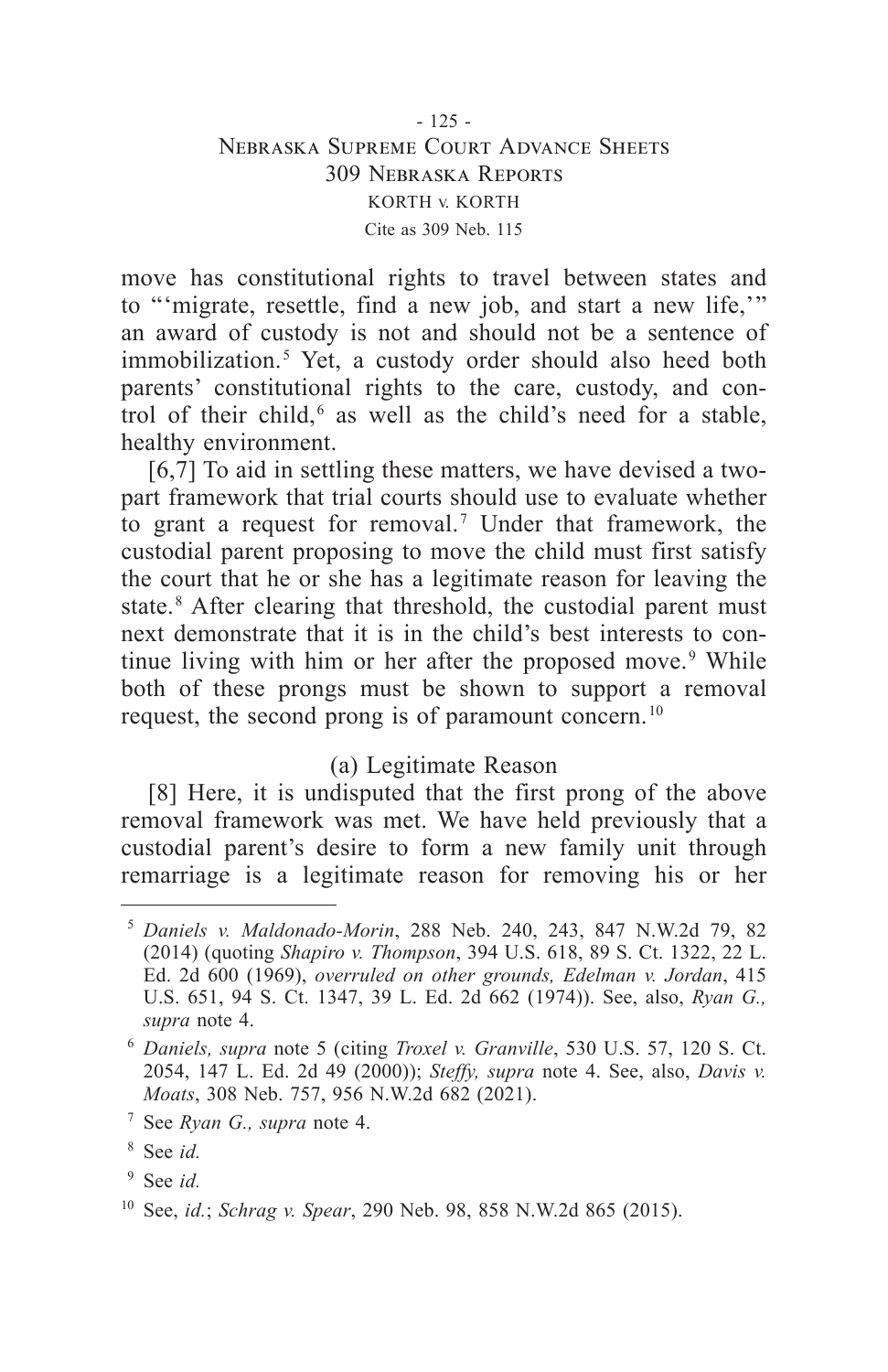# - 125 - Nebraska Supreme Court Advance Sheets 309 Nebraska Reports KORTH v. KORTH Cite as 309 Neb. 115

move has constitutional rights to travel between states and to "'migrate, resettle, find a new job, and start a new life,'" an award of custody is not and should not be a sentence of immobilization.<sup>5</sup> Yet, a custody order should also heed both parents' constitutional rights to the care, custody, and control of their child,<sup>6</sup> as well as the child's need for a stable, healthy environment.

[6,7] To aid in settling these matters, we have devised a twopart framework that trial courts should use to evaluate whether to grant a request for removal. 7 Under that framework, the custodial parent proposing to move the child must first satisfy the court that he or she has a legitimate reason for leaving the state.<sup>8</sup> After clearing that threshold, the custodial parent must next demonstrate that it is in the child's best interests to continue living with him or her after the proposed move.<sup>9</sup> While both of these prongs must be shown to support a removal request, the second prong is of paramount concern. 10

## (a) Legitimate Reason

[8] Here, it is undisputed that the first prong of the above removal framework was met. We have held previously that a custodial parent's desire to form a new family unit through remarriage is a legitimate reason for removing his or her

<sup>5</sup> *Daniels v. Maldonado-Morin*, 288 Neb. 240, 243, 847 N.W.2d 79, 82 (2014) (quoting *Shapiro v. Thompson*, 394 U.S. 618, 89 S. Ct. 1322, 22 L. Ed. 2d 600 (1969), *overruled on other grounds, Edelman v. Jordan*, 415 U.S. 651, 94 S. Ct. 1347, 39 L. Ed. 2d 662 (1974)). See, also, *Ryan G., supra* note 4.

<sup>6</sup> *Daniels, supra* note 5 (citing *Troxel v. Granville*, 530 U.S. 57, 120 S. Ct. 2054, 147 L. Ed. 2d 49 (2000)); *Steffy, supra* note 4. See, also, *Davis v. Moats*, 308 Neb. 757, 956 N.W.2d 682 (2021).

<sup>7</sup> See *Ryan G., supra* note 4.

<sup>8</sup> See *id.*

<sup>9</sup> See *id.*

<sup>10</sup> See, *id.*; *Schrag v. Spear*, 290 Neb. 98, 858 N.W.2d 865 (2015).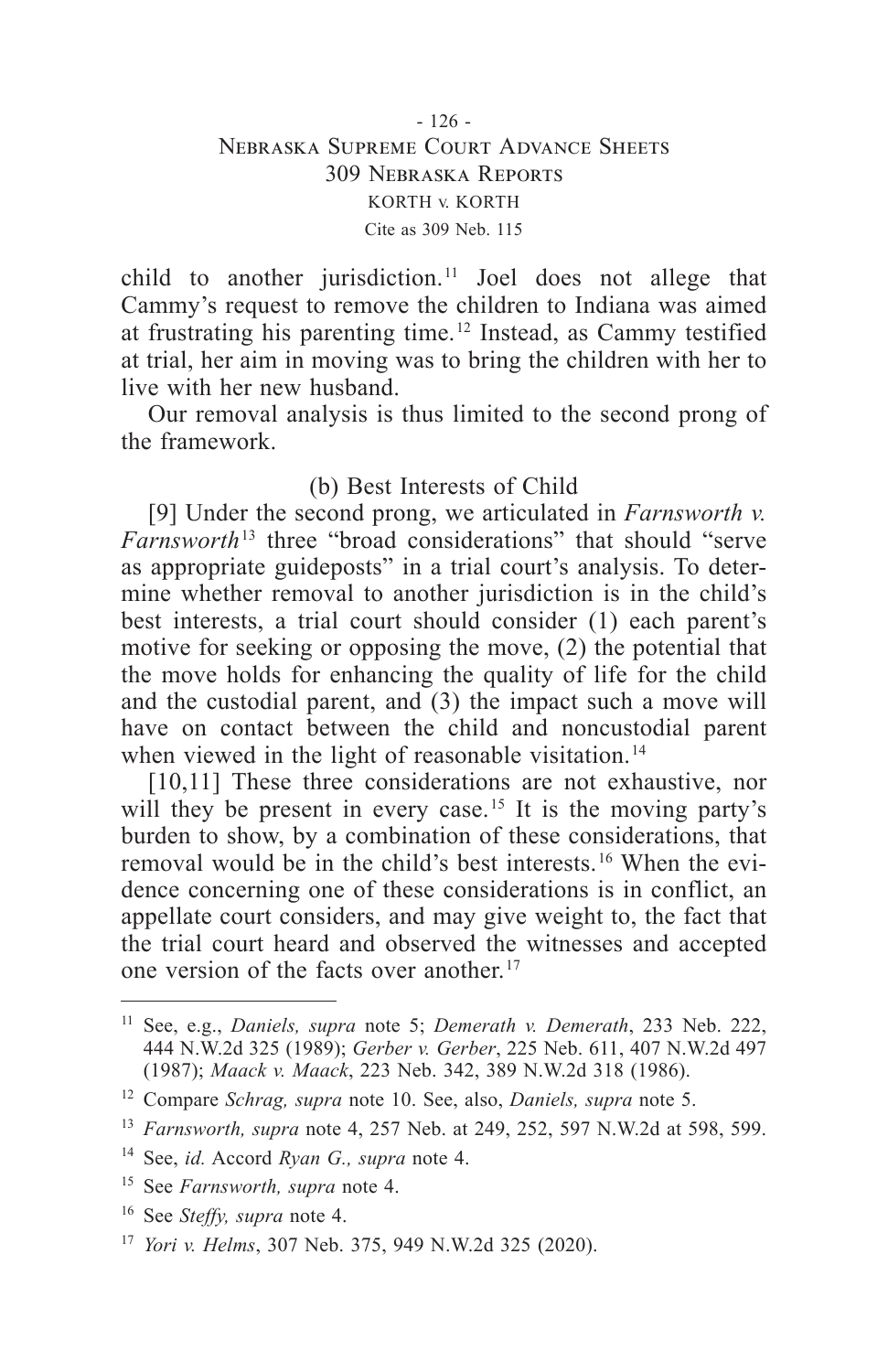child to another jurisdiction. 11 Joel does not allege that Cammy's request to remove the children to Indiana was aimed at frustrating his parenting time. 12 Instead, as Cammy testified at trial, her aim in moving was to bring the children with her to live with her new husband.

Our removal analysis is thus limited to the second prong of the framework.

# (b) Best Interests of Child

[9] Under the second prong, we articulated in *Farnsworth v. Farnsworth* 13 three "broad considerations" that should "serve as appropriate guideposts" in a trial court's analysis. To determine whether removal to another jurisdiction is in the child's best interests, a trial court should consider (1) each parent's motive for seeking or opposing the move, (2) the potential that the move holds for enhancing the quality of life for the child and the custodial parent, and (3) the impact such a move will have on contact between the child and noncustodial parent when viewed in the light of reasonable visitation.<sup>14</sup>

[10,11] These three considerations are not exhaustive, nor will they be present in every case.<sup>15</sup> It is the moving party's burden to show, by a combination of these considerations, that removal would be in the child's best interests. 16 When the evidence concerning one of these considerations is in conflict, an appellate court considers, and may give weight to, the fact that the trial court heard and observed the witnesses and accepted one version of the facts over another. 17

<sup>11</sup> See, e.g., *Daniels, supra* note 5; *Demerath v. Demerath*, 233 Neb. 222, 444 N.W.2d 325 (1989); *Gerber v. Gerber*, 225 Neb. 611, 407 N.W.2d 497 (1987); *Maack v. Maack*, 223 Neb. 342, 389 N.W.2d 318 (1986).

<sup>12</sup> Compare *Schrag, supra* note 10. See, also, *Daniels, supra* note 5.

<sup>13</sup> *Farnsworth, supra* note 4, 257 Neb. at 249, 252, 597 N.W.2d at 598, 599.

<sup>14</sup> See, *id.* Accord *Ryan G., supra* note 4.

<sup>15</sup> See *Farnsworth, supra* note 4.

<sup>16</sup> See *Steffy, supra* note 4.

<sup>17</sup> *Yori v. Helms*, 307 Neb. 375, 949 N.W.2d 325 (2020).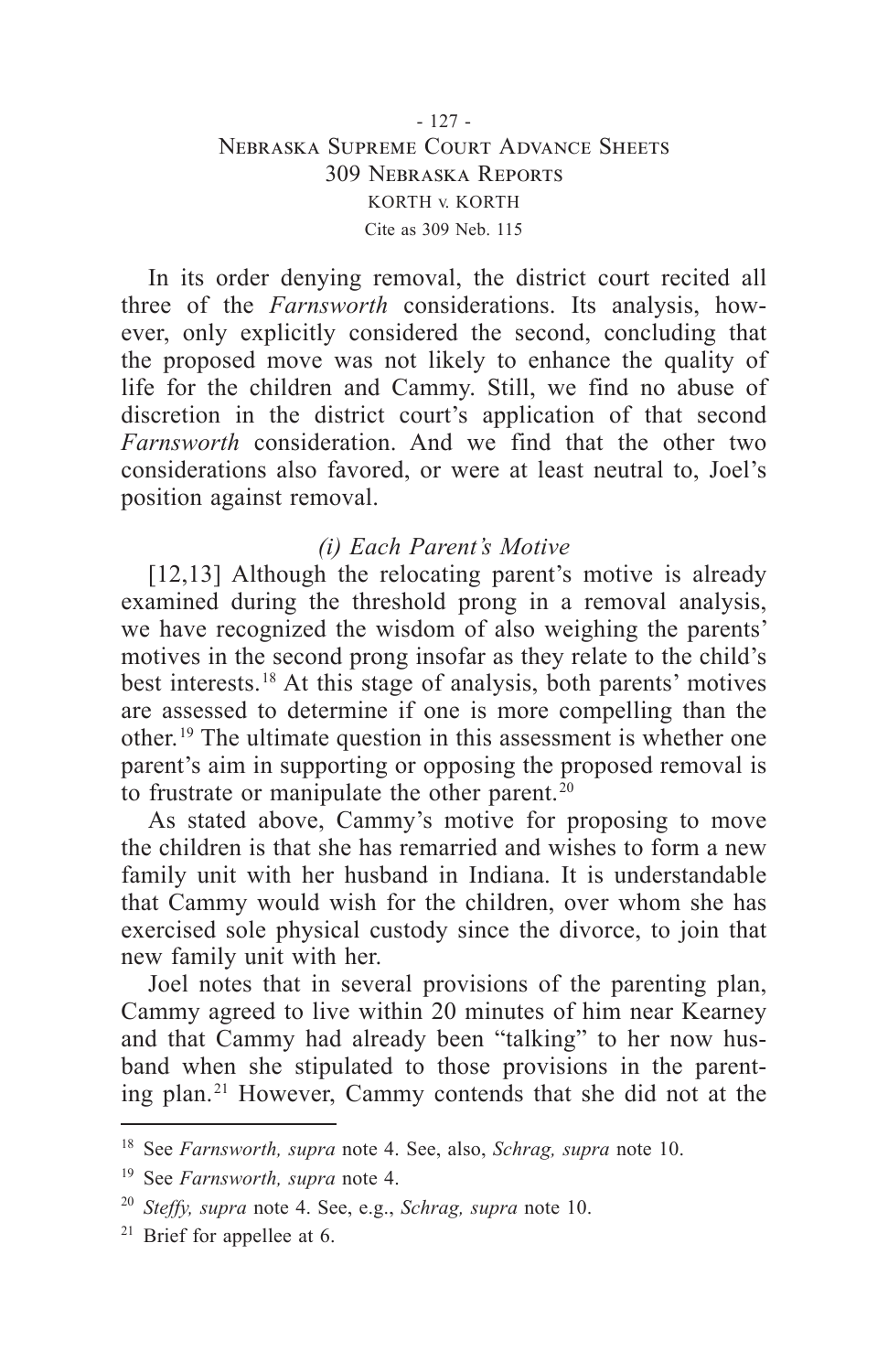# - 127 - Nebraska Supreme Court Advance Sheets 309 Nebraska Reports KORTH v. KORTH Cite as 309 Neb. 115

In its order denying removal, the district court recited all three of the *Farnsworth* considerations. Its analysis, however, only explicitly considered the second, concluding that the proposed move was not likely to enhance the quality of life for the children and Cammy. Still, we find no abuse of discretion in the district court's application of that second *Farnsworth* consideration. And we find that the other two considerations also favored, or were at least neutral to, Joel's position against removal.

# *(i) Each Parent's Motive*

[12,13] Although the relocating parent's motive is already examined during the threshold prong in a removal analysis, we have recognized the wisdom of also weighing the parents' motives in the second prong insofar as they relate to the child's best interests. 18 At this stage of analysis, both parents' motives are assessed to determine if one is more compelling than the other. 19 The ultimate question in this assessment is whether one parent's aim in supporting or opposing the proposed removal is to frustrate or manipulate the other parent. 20

As stated above, Cammy's motive for proposing to move the children is that she has remarried and wishes to form a new family unit with her husband in Indiana. It is understandable that Cammy would wish for the children, over whom she has exercised sole physical custody since the divorce, to join that new family unit with her.

Joel notes that in several provisions of the parenting plan, Cammy agreed to live within 20 minutes of him near Kearney and that Cammy had already been "talking" to her now husband when she stipulated to those provisions in the parenting plan. 21 However, Cammy contends that she did not at the

<sup>18</sup> See *Farnsworth, supra* note 4. See, also, *Schrag, supra* note 10.

<sup>19</sup> See *Farnsworth, supra* note 4.

<sup>20</sup> *Steffy, supra* note 4. See, e.g., *Schrag, supra* note 10.

<sup>21</sup> Brief for appellee at 6.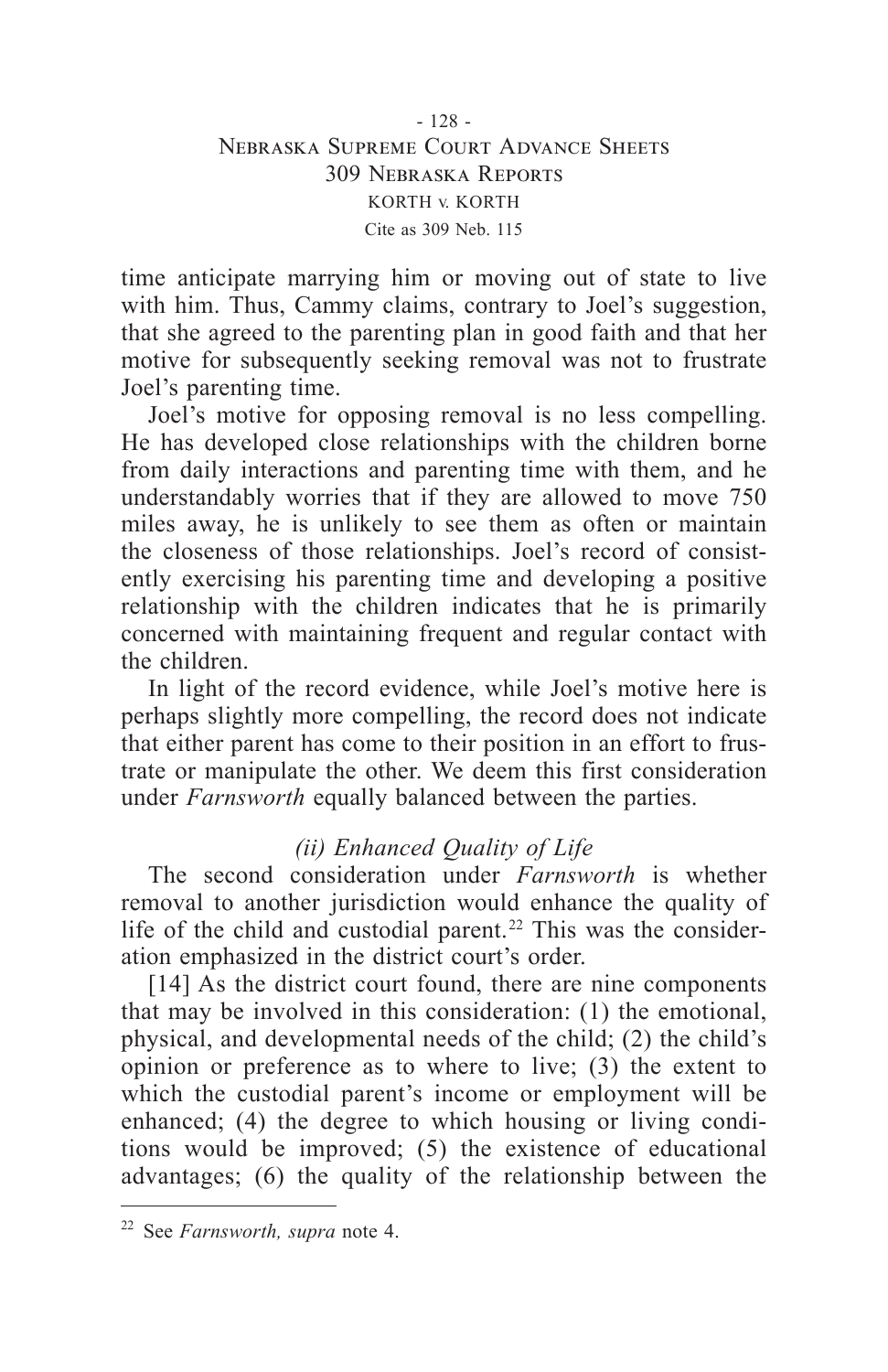# - 128 - Nebraska Supreme Court Advance Sheets 309 Nebraska Reports KORTH v. KORTH Cite as 309 Neb. 115

time anticipate marrying him or moving out of state to live with him. Thus, Cammy claims, contrary to Joel's suggestion, that she agreed to the parenting plan in good faith and that her motive for subsequently seeking removal was not to frustrate Joel's parenting time.

Joel's motive for opposing removal is no less compelling. He has developed close relationships with the children borne from daily interactions and parenting time with them, and he understandably worries that if they are allowed to move 750 miles away, he is unlikely to see them as often or maintain the closeness of those relationships. Joel's record of consistently exercising his parenting time and developing a positive relationship with the children indicates that he is primarily concerned with maintaining frequent and regular contact with the children.

In light of the record evidence, while Joel's motive here is perhaps slightly more compelling, the record does not indicate that either parent has come to their position in an effort to frustrate or manipulate the other. We deem this first consideration under *Farnsworth* equally balanced between the parties.

# *(ii) Enhanced Quality of Life*

The second consideration under *Farnsworth* is whether removal to another jurisdiction would enhance the quality of life of the child and custodial parent.<sup>22</sup> This was the consideration emphasized in the district court's order.

[14] As the district court found, there are nine components that may be involved in this consideration: (1) the emotional, physical, and developmental needs of the child; (2) the child's opinion or preference as to where to live; (3) the extent to which the custodial parent's income or employment will be enhanced; (4) the degree to which housing or living conditions would be improved; (5) the existence of educational advantages; (6) the quality of the relationship between the

<sup>22</sup> See *Farnsworth, supra* note 4.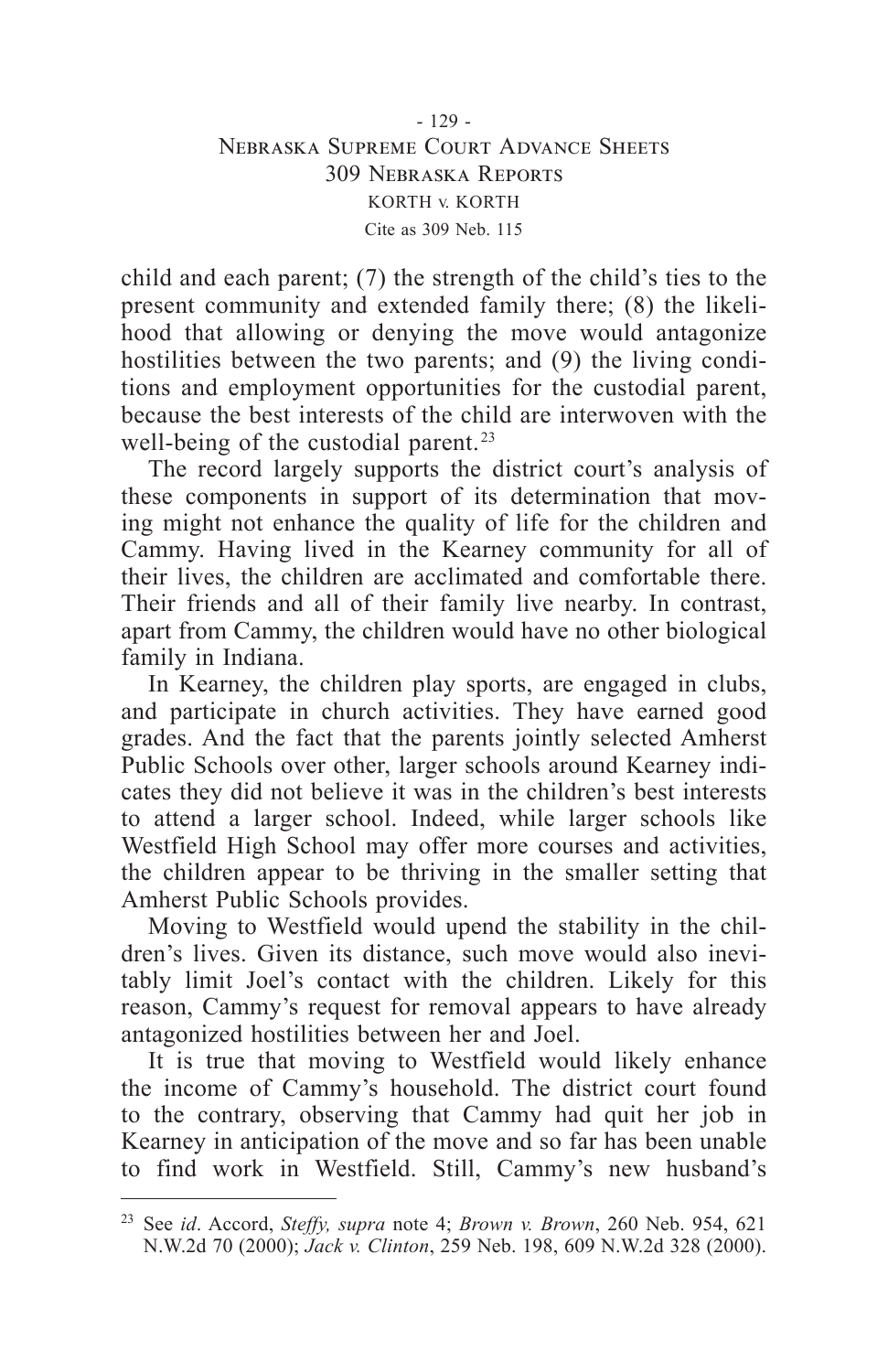child and each parent; (7) the strength of the child's ties to the present community and extended family there; (8) the likelihood that allowing or denying the move would antagonize hostilities between the two parents; and (9) the living conditions and employment opportunities for the custodial parent, because the best interests of the child are interwoven with the well-being of the custodial parent.<sup>23</sup>

The record largely supports the district court's analysis of these components in support of its determination that moving might not enhance the quality of life for the children and Cammy. Having lived in the Kearney community for all of their lives, the children are acclimated and comfortable there. Their friends and all of their family live nearby. In contrast, apart from Cammy, the children would have no other biological family in Indiana.

In Kearney, the children play sports, are engaged in clubs, and participate in church activities. They have earned good grades. And the fact that the parents jointly selected Amherst Public Schools over other, larger schools around Kearney indicates they did not believe it was in the children's best interests to attend a larger school. Indeed, while larger schools like Westfield High School may offer more courses and activities, the children appear to be thriving in the smaller setting that Amherst Public Schools provides.

Moving to Westfield would upend the stability in the children's lives. Given its distance, such move would also inevitably limit Joel's contact with the children. Likely for this reason, Cammy's request for removal appears to have already antagonized hostilities between her and Joel.

It is true that moving to Westfield would likely enhance the income of Cammy's household. The district court found to the contrary, observing that Cammy had quit her job in Kearney in anticipation of the move and so far has been unable to find work in Westfield. Still, Cammy's new husband's

<sup>23</sup> See *id*. Accord, *Steffy, supra* note 4; *Brown v. Brown*, 260 Neb. 954, 621 N.W.2d 70 (2000); *Jack v. Clinton*, 259 Neb. 198, 609 N.W.2d 328 (2000).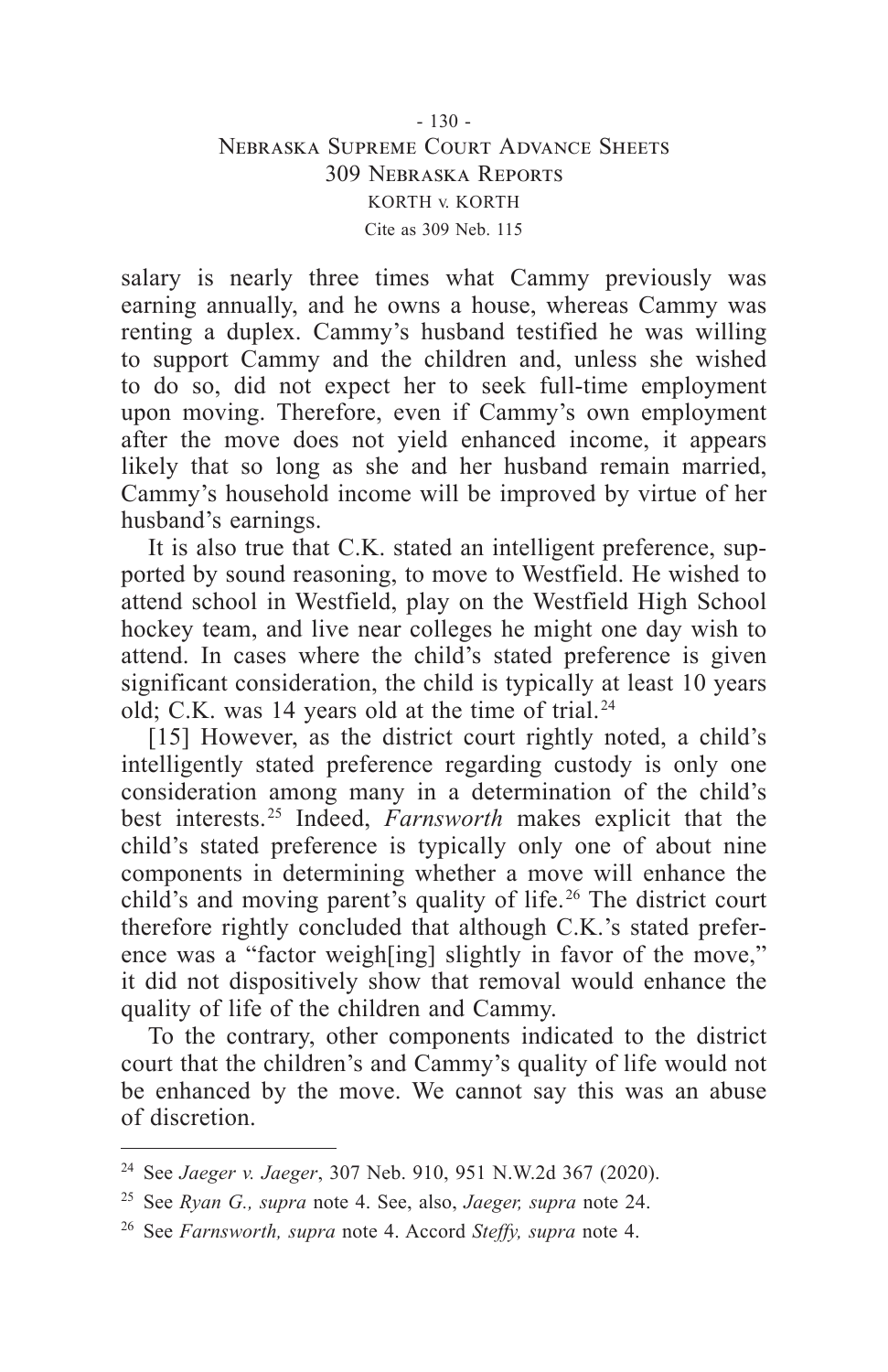# - 130 - Nebraska Supreme Court Advance Sheets 309 Nebraska Reports KORTH v. KORTH Cite as 309 Neb. 115

salary is nearly three times what Cammy previously was earning annually, and he owns a house, whereas Cammy was renting a duplex. Cammy's husband testified he was willing to support Cammy and the children and, unless she wished to do so, did not expect her to seek full-time employment upon moving. Therefore, even if Cammy's own employment after the move does not yield enhanced income, it appears likely that so long as she and her husband remain married, Cammy's household income will be improved by virtue of her husband's earnings.

It is also true that C.K. stated an intelligent preference, supported by sound reasoning, to move to Westfield. He wished to attend school in Westfield, play on the Westfield High School hockey team, and live near colleges he might one day wish to attend. In cases where the child's stated preference is given significant consideration, the child is typically at least 10 years old; C.K. was 14 years old at the time of trial. 24

[15] However, as the district court rightly noted, a child's intelligently stated preference regarding custody is only one consideration among many in a determination of the child's best interests. 25 Indeed, *Farnsworth* makes explicit that the child's stated preference is typically only one of about nine components in determining whether a move will enhance the child's and moving parent's quality of life. 26 The district court therefore rightly concluded that although C.K.'s stated preference was a "factor weigh[ing] slightly in favor of the move," it did not dispositively show that removal would enhance the quality of life of the children and Cammy.

To the contrary, other components indicated to the district court that the children's and Cammy's quality of life would not be enhanced by the move. We cannot say this was an abuse of discretion.

<sup>24</sup> See *Jaeger v. Jaeger*, 307 Neb. 910, 951 N.W.2d 367 (2020).

<sup>25</sup> See *Ryan G., supra* note 4. See, also, *Jaeger, supra* note 24.

<sup>26</sup> See *Farnsworth, supra* note 4. Accord *Steffy, supra* note 4.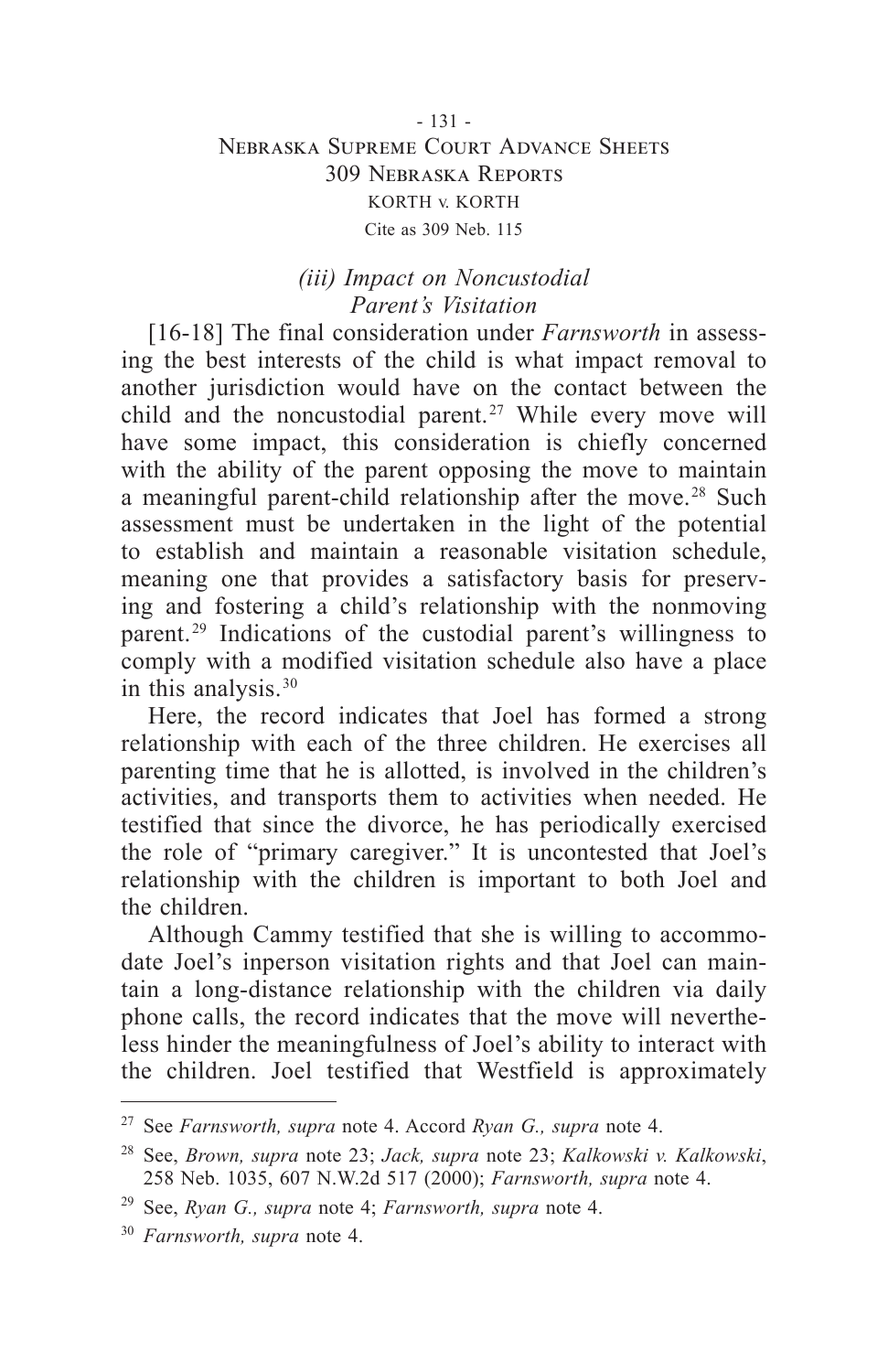# - 131 - Nebraska Supreme Court Advance Sheets 309 Nebraska Reports KORTH v. KORTH Cite as 309 Neb. 115

# *(iii) Impact on Noncustodial Parent's Visitation*

[16-18] The final consideration under *Farnsworth* in assessing the best interests of the child is what impact removal to another jurisdiction would have on the contact between the child and the noncustodial parent. 27 While every move will have some impact, this consideration is chiefly concerned with the ability of the parent opposing the move to maintain a meaningful parent-child relationship after the move. 28 Such assessment must be undertaken in the light of the potential to establish and maintain a reasonable visitation schedule, meaning one that provides a satisfactory basis for preserving and fostering a child's relationship with the nonmoving parent. 29 Indications of the custodial parent's willingness to comply with a modified visitation schedule also have a place in this analysis. 30

Here, the record indicates that Joel has formed a strong relationship with each of the three children. He exercises all parenting time that he is allotted, is involved in the children's activities, and transports them to activities when needed. He testified that since the divorce, he has periodically exercised the role of "primary caregiver." It is uncontested that Joel's relationship with the children is important to both Joel and the children.

Although Cammy testified that she is willing to accommodate Joel's inperson visitation rights and that Joel can maintain a long-distance relationship with the children via daily phone calls, the record indicates that the move will nevertheless hinder the meaningfulness of Joel's ability to interact with the children. Joel testified that Westfield is approximately

<sup>27</sup> See *Farnsworth, supra* note 4. Accord *Ryan G., supra* note 4.

<sup>28</sup> See, *Brown, supra* note 23; *Jack, supra* note 23; *Kalkowski v. Kalkowski*, 258 Neb. 1035, 607 N.W.2d 517 (2000); *Farnsworth, supra* note 4.

<sup>29</sup> See, *Ryan G., supra* note 4; *Farnsworth, supra* note 4.

<sup>30</sup> *Farnsworth, supra* note 4.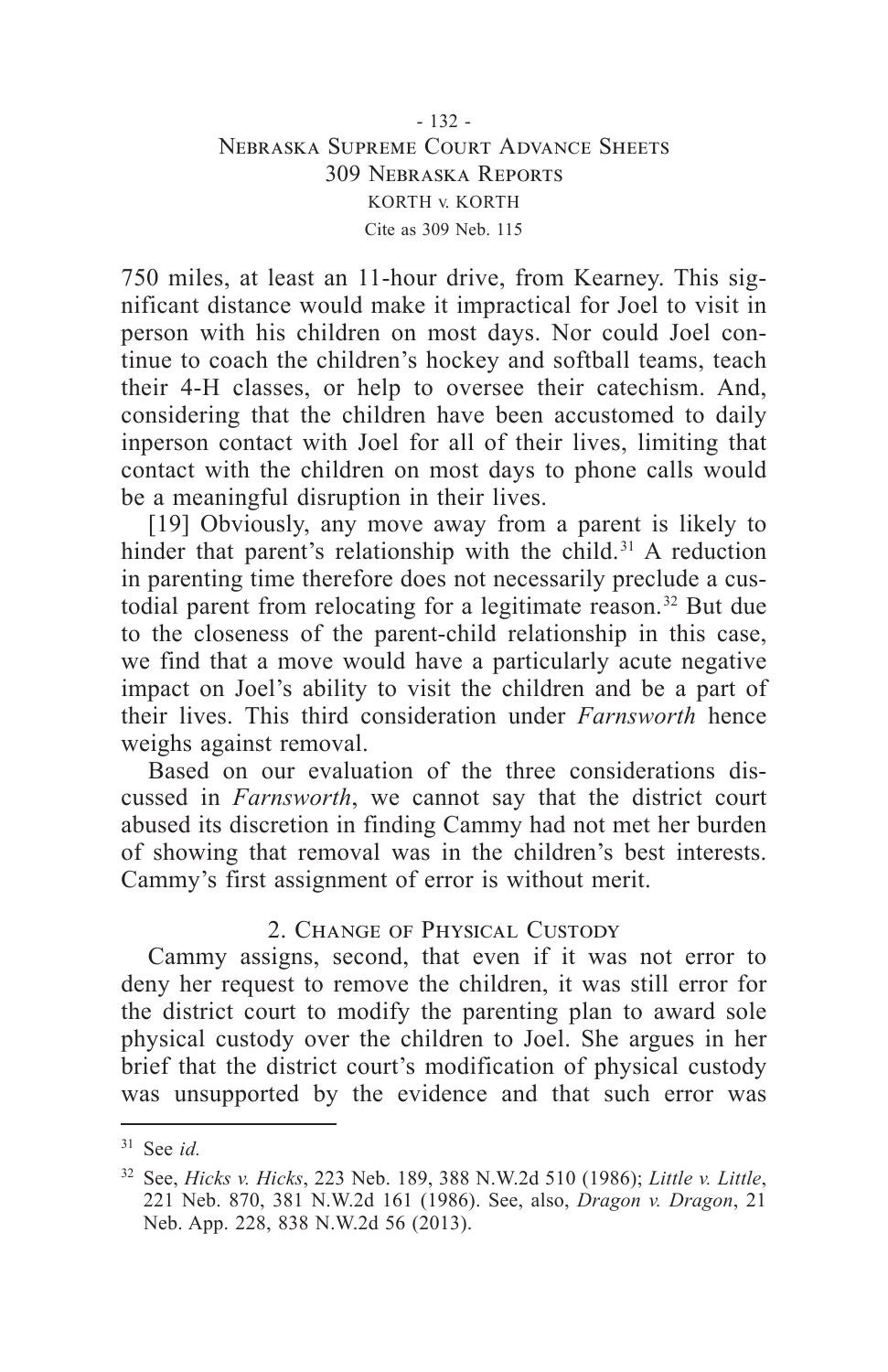# - 132 - Nebraska Supreme Court Advance Sheets 309 Nebraska Reports KORTH v. KORTH Cite as 309 Neb. 115

750 miles, at least an 11-hour drive, from Kearney. This significant distance would make it impractical for Joel to visit in person with his children on most days. Nor could Joel continue to coach the children's hockey and softball teams, teach their 4-H classes, or help to oversee their catechism. And, considering that the children have been accustomed to daily inperson contact with Joel for all of their lives, limiting that contact with the children on most days to phone calls would be a meaningful disruption in their lives.

[19] Obviously, any move away from a parent is likely to hinder that parent's relationship with the child.<sup>31</sup> A reduction in parenting time therefore does not necessarily preclude a custodial parent from relocating for a legitimate reason. 32 But due to the closeness of the parent-child relationship in this case, we find that a move would have a particularly acute negative impact on Joel's ability to visit the children and be a part of their lives. This third consideration under *Farnsworth* hence weighs against removal.

Based on our evaluation of the three considerations discussed in *Farnsworth*, we cannot say that the district court abused its discretion in finding Cammy had not met her burden of showing that removal was in the children's best interests. Cammy's first assignment of error is without merit.

## 2. Change of Physical Custody

Cammy assigns, second, that even if it was not error to deny her request to remove the children, it was still error for the district court to modify the parenting plan to award sole physical custody over the children to Joel. She argues in her brief that the district court's modification of physical custody was unsupported by the evidence and that such error was

<sup>31</sup> See *id.*

<sup>32</sup> See, *Hicks v. Hicks*, 223 Neb. 189, 388 N.W.2d 510 (1986); *Little v. Little*, 221 Neb. 870, 381 N.W.2d 161 (1986). See, also, *Dragon v. Dragon*, 21 Neb. App. 228, 838 N.W.2d 56 (2013).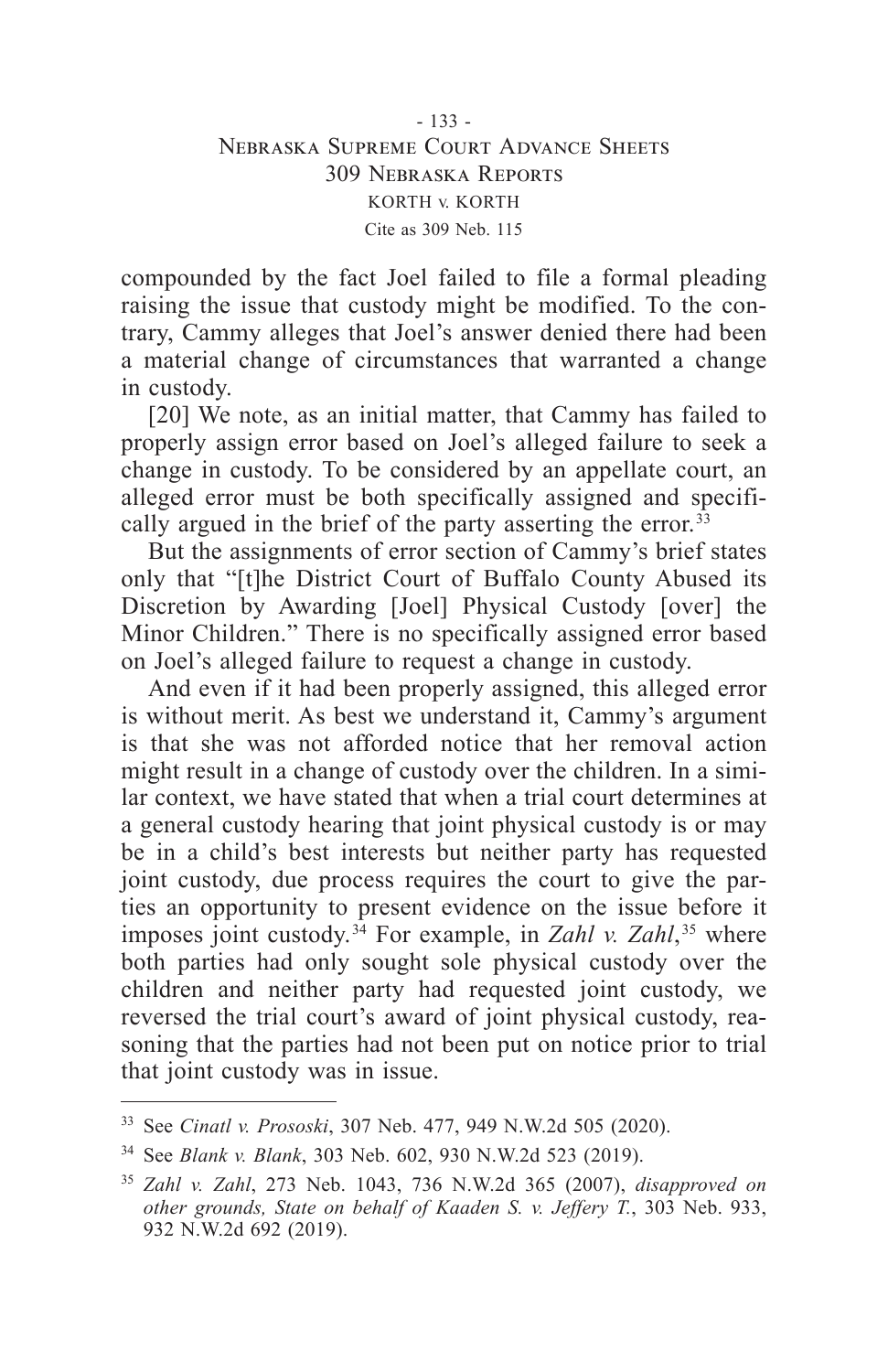compounded by the fact Joel failed to file a formal pleading raising the issue that custody might be modified. To the contrary, Cammy alleges that Joel's answer denied there had been a material change of circumstances that warranted a change in custody.

[20] We note, as an initial matter, that Cammy has failed to properly assign error based on Joel's alleged failure to seek a change in custody. To be considered by an appellate court, an alleged error must be both specifically assigned and specifically argued in the brief of the party asserting the error.<sup>33</sup>

But the assignments of error section of Cammy's brief states only that "[t]he District Court of Buffalo County Abused its Discretion by Awarding [Joel] Physical Custody [over] the Minor Children." There is no specifically assigned error based on Joel's alleged failure to request a change in custody.

And even if it had been properly assigned, this alleged error is without merit. As best we understand it, Cammy's argument is that she was not afforded notice that her removal action might result in a change of custody over the children. In a similar context, we have stated that when a trial court determines at a general custody hearing that joint physical custody is or may be in a child's best interests but neither party has requested joint custody, due process requires the court to give the parties an opportunity to present evidence on the issue before it imposes joint custody.<sup>34</sup> For example, in *Zahl v. Zahl*,<sup>35</sup> where both parties had only sought sole physical custody over the children and neither party had requested joint custody, we reversed the trial court's award of joint physical custody, reasoning that the parties had not been put on notice prior to trial that joint custody was in issue.

<sup>33</sup> See *Cinatl v. Prososki*, 307 Neb. 477, 949 N.W.2d 505 (2020).

<sup>34</sup> See *Blank v. Blank*, 303 Neb. 602, 930 N.W.2d 523 (2019).

<sup>35</sup> *Zahl v. Zahl*, 273 Neb. 1043, 736 N.W.2d 365 (2007), *disapproved on other grounds, State on behalf of Kaaden S. v. Jeffery T.*, 303 Neb. 933, 932 N.W.2d 692 (2019).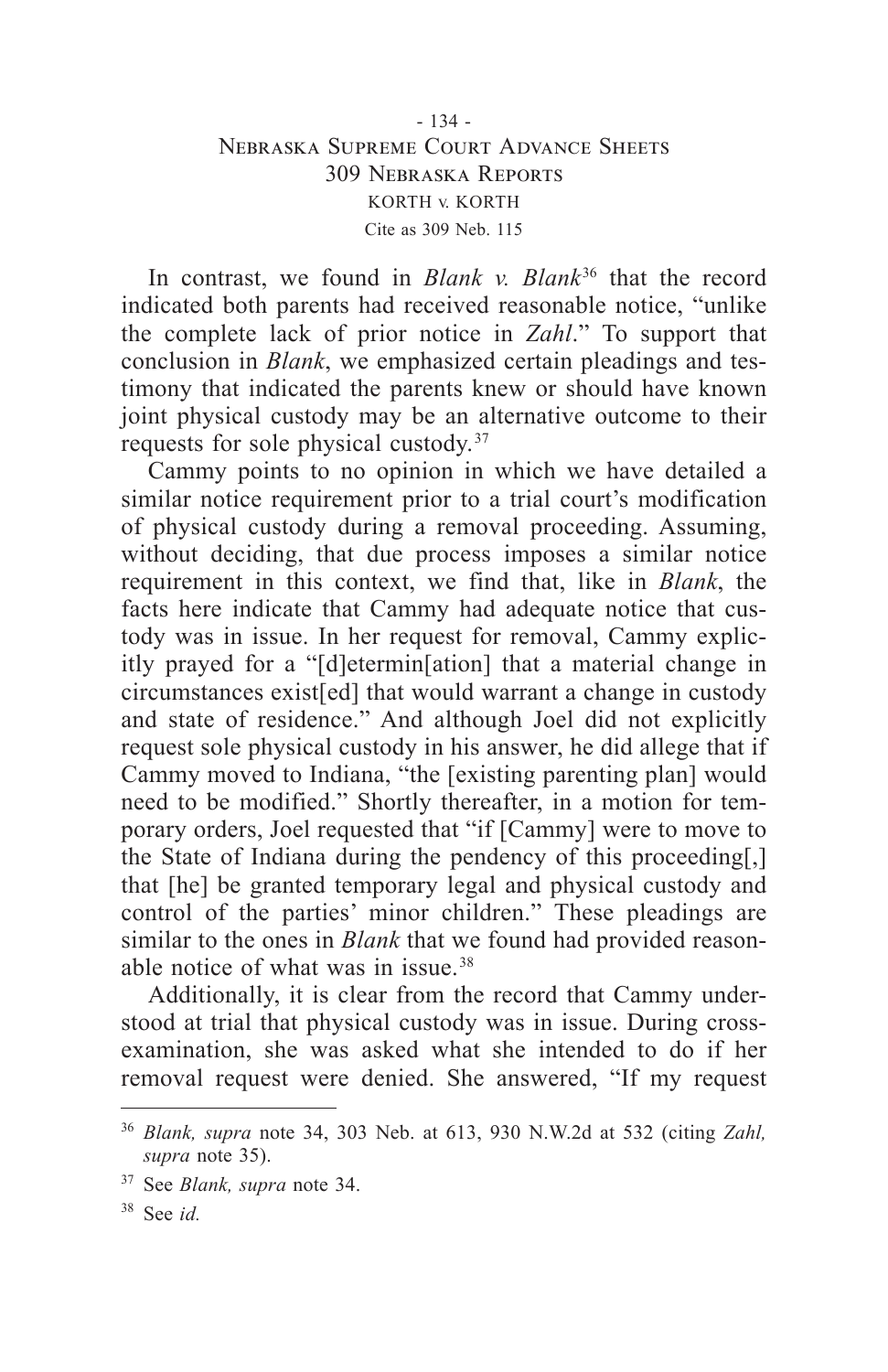# - 134 - Nebraska Supreme Court Advance Sheets 309 Nebraska Reports KORTH v. KORTH Cite as 309 Neb. 115

In contrast, we found in *Blank v. Blank* 36 that the record indicated both parents had received reasonable notice, "unlike the complete lack of prior notice in *Zahl*." To support that conclusion in *Blank*, we emphasized certain pleadings and testimony that indicated the parents knew or should have known joint physical custody may be an alternative outcome to their requests for sole physical custody. 37

Cammy points to no opinion in which we have detailed a similar notice requirement prior to a trial court's modification of physical custody during a removal proceeding. Assuming, without deciding, that due process imposes a similar notice requirement in this context, we find that, like in *Blank*, the facts here indicate that Cammy had adequate notice that custody was in issue. In her request for removal, Cammy explicitly prayed for a "[d]etermin[ation] that a material change in circumstances exist[ed] that would warrant a change in custody and state of residence." And although Joel did not explicitly request sole physical custody in his answer, he did allege that if Cammy moved to Indiana, "the [existing parenting plan] would need to be modified." Shortly thereafter, in a motion for temporary orders, Joel requested that "if [Cammy] were to move to the State of Indiana during the pendency of this proceeding[,] that [he] be granted temporary legal and physical custody and control of the parties' minor children." These pleadings are similar to the ones in *Blank* that we found had provided reasonable notice of what was in issue. 38

Additionally, it is clear from the record that Cammy understood at trial that physical custody was in issue. During crossexamination, she was asked what she intended to do if her removal request were denied. She answered, "If my request

<sup>36</sup> *Blank, supra* note 34, 303 Neb. at 613, 930 N.W.2d at 532 (citing *Zahl, supra* note 35).

<sup>37</sup> See *Blank, supra* note 34.

<sup>38</sup> See *id.*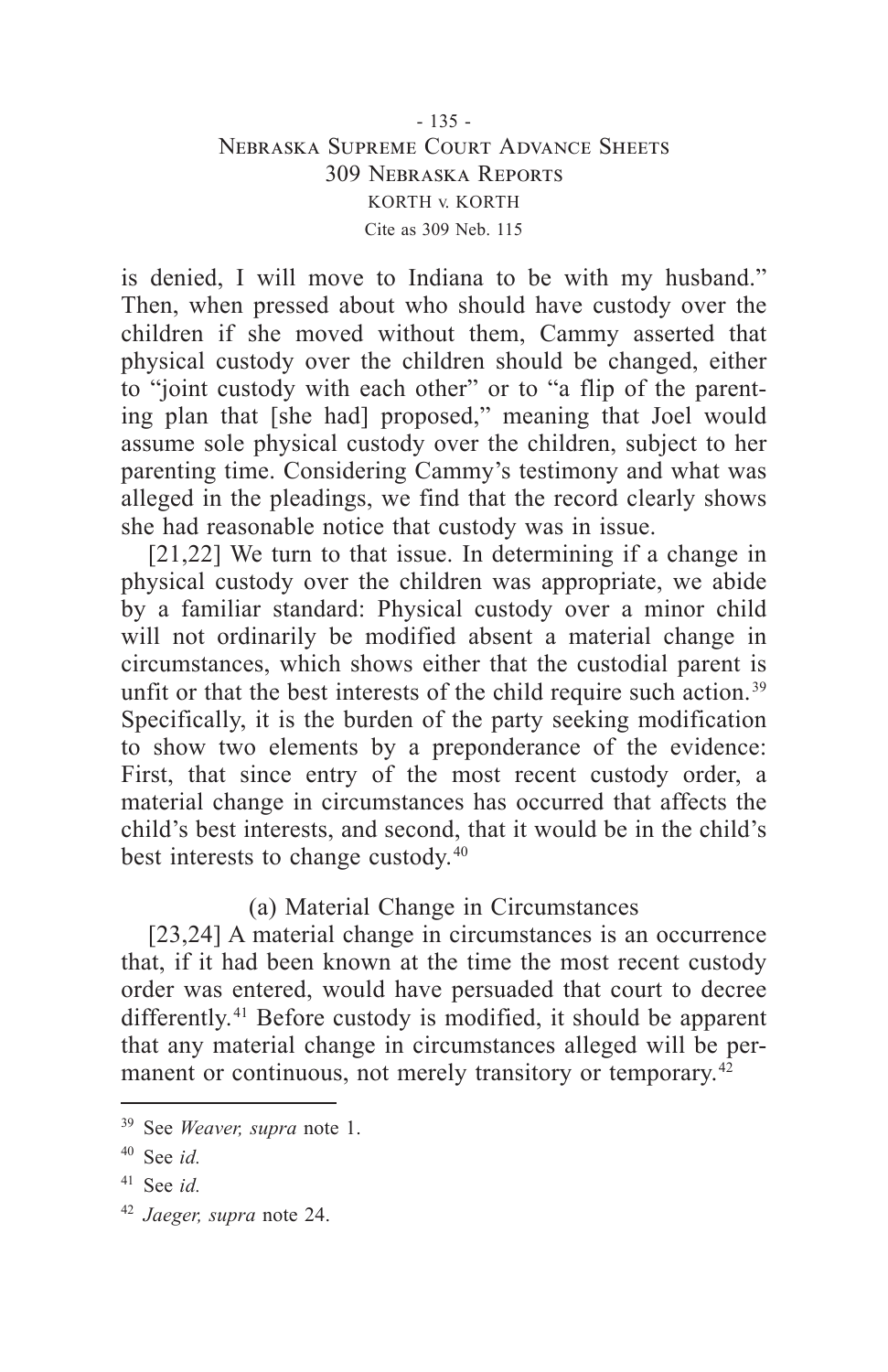# - 135 - Nebraska Supreme Court Advance Sheets 309 Nebraska Reports KORTH v. KORTH Cite as 309 Neb. 115

is denied, I will move to Indiana to be with my husband." Then, when pressed about who should have custody over the children if she moved without them, Cammy asserted that physical custody over the children should be changed, either to "joint custody with each other" or to "a flip of the parenting plan that [she had] proposed," meaning that Joel would assume sole physical custody over the children, subject to her parenting time. Considering Cammy's testimony and what was alleged in the pleadings, we find that the record clearly shows she had reasonable notice that custody was in issue.

[21,22] We turn to that issue. In determining if a change in physical custody over the children was appropriate, we abide by a familiar standard: Physical custody over a minor child will not ordinarily be modified absent a material change in circumstances, which shows either that the custodial parent is unfit or that the best interests of the child require such action.<sup>39</sup> Specifically, it is the burden of the party seeking modification to show two elements by a preponderance of the evidence: First, that since entry of the most recent custody order, a material change in circumstances has occurred that affects the child's best interests, and second, that it would be in the child's best interests to change custody. 40

# (a) Material Change in Circumstances

[23,24] A material change in circumstances is an occurrence that, if it had been known at the time the most recent custody order was entered, would have persuaded that court to decree differently.<sup>41</sup> Before custody is modified, it should be apparent that any material change in circumstances alleged will be permanent or continuous, not merely transitory or temporary.<sup>42</sup>

<sup>39</sup> See *Weaver, supra* note 1.

<sup>40</sup> See *id.*

<sup>41</sup> See *id.*

<sup>42</sup> *Jaeger, supra* note 24.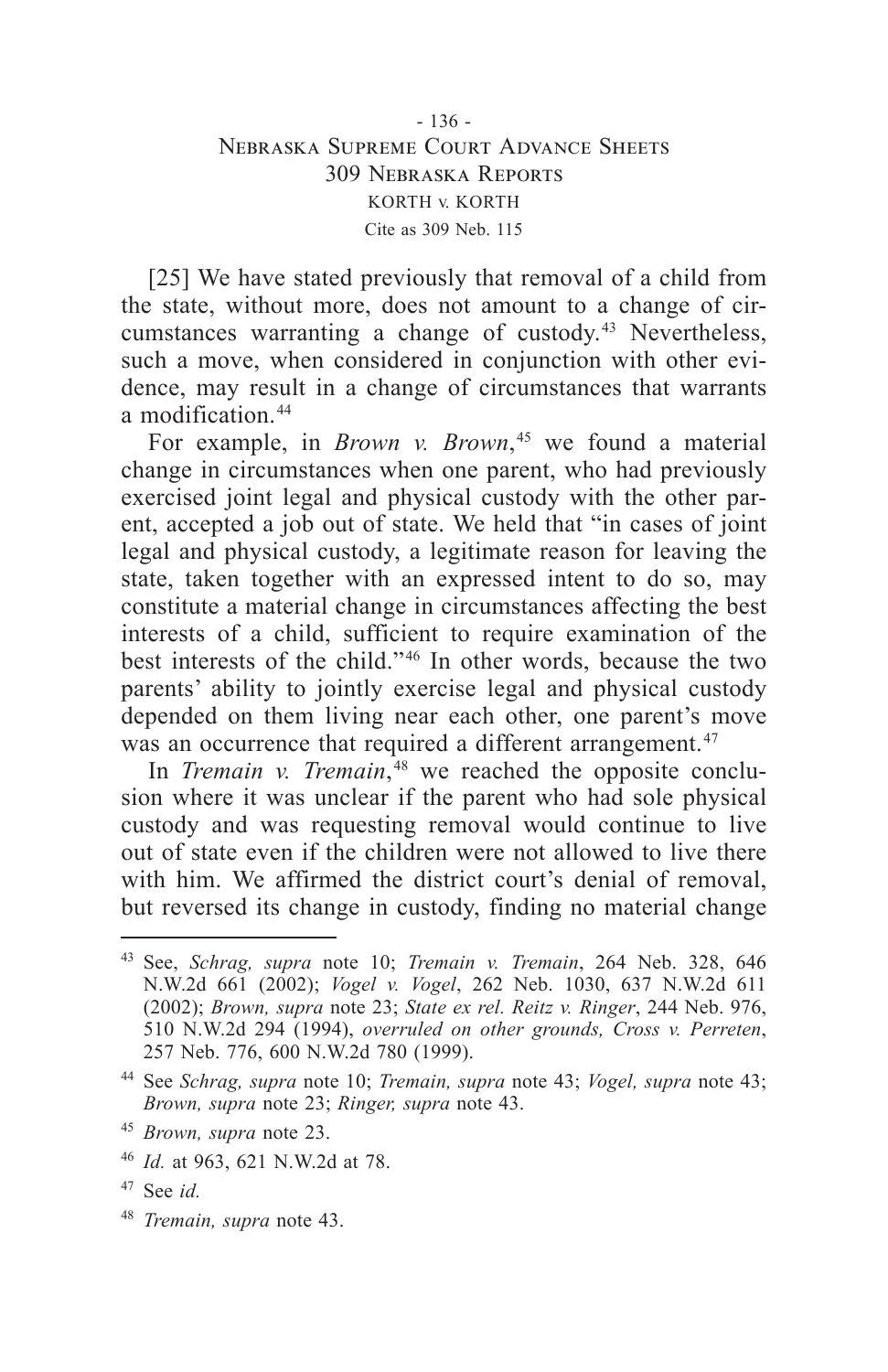[25] We have stated previously that removal of a child from the state, without more, does not amount to a change of circumstances warranting a change of custody.<sup>43</sup> Nevertheless, such a move, when considered in conjunction with other evidence, may result in a change of circumstances that warrants a modification. 44

For example, in *Brown v. Brown*,<sup>45</sup> we found a material change in circumstances when one parent, who had previously exercised joint legal and physical custody with the other parent, accepted a job out of state. We held that "in cases of joint legal and physical custody, a legitimate reason for leaving the state, taken together with an expressed intent to do so, may constitute a material change in circumstances affecting the best interests of a child, sufficient to require examination of the best interests of the child." 46 In other words, because the two parents' ability to jointly exercise legal and physical custody depended on them living near each other, one parent's move was an occurrence that required a different arrangement.<sup>47</sup>

In *Tremain v. Tremain*,<sup>48</sup> we reached the opposite conclusion where it was unclear if the parent who had sole physical custody and was requesting removal would continue to live out of state even if the children were not allowed to live there with him. We affirmed the district court's denial of removal, but reversed its change in custody, finding no material change

<sup>48</sup> *Tremain, supra* note 43.

<sup>43</sup> See, *Schrag, supra* note 10; *Tremain v. Tremain*, 264 Neb. 328, 646 N.W.2d 661 (2002); *Vogel v. Vogel*, 262 Neb. 1030, 637 N.W.2d 611 (2002); *Brown, supra* note 23; *State ex rel. Reitz v. Ringer*, 244 Neb. 976, 510 N.W.2d 294 (1994), *overruled on other grounds, Cross v. Perreten*, 257 Neb. 776, 600 N.W.2d 780 (1999).

<sup>44</sup> See *Schrag, supra* note 10; *Tremain, supra* note 43; *Vogel, supra* note 43; *Brown, supra* note 23; *Ringer, supra* note 43.

<sup>45</sup> *Brown, supra* note 23.

<sup>46</sup> *Id.* at 963, 621 N.W.2d at 78.

<sup>47</sup> See *id.*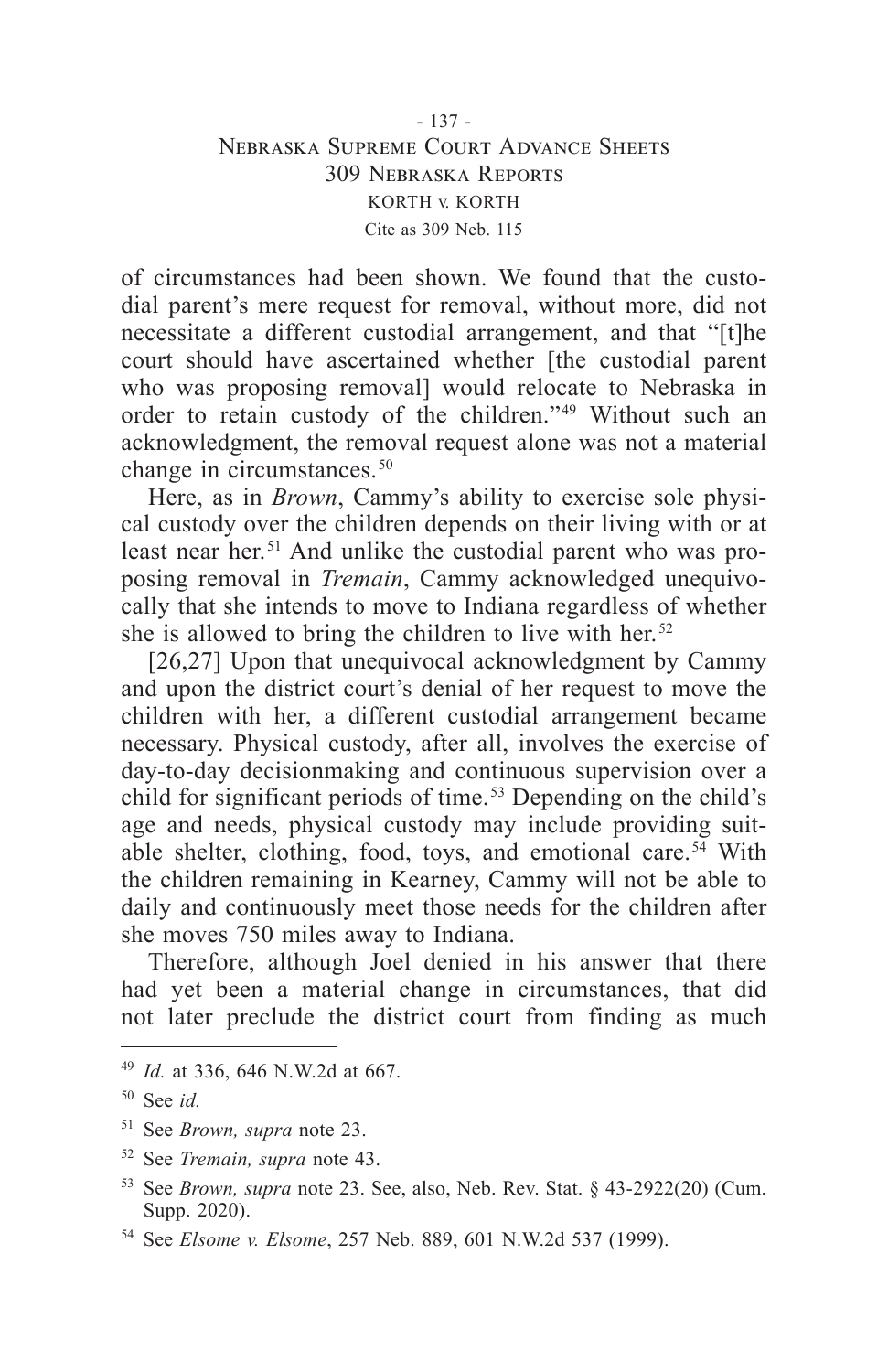of circumstances had been shown. We found that the custodial parent's mere request for removal, without more, did not necessitate a different custodial arrangement, and that "[t]he court should have ascertained whether [the custodial parent who was proposing removal] would relocate to Nebraska in order to retain custody of the children." 49 Without such an acknowledgment, the removal request alone was not a material change in circumstances. 50

Here, as in *Brown*, Cammy's ability to exercise sole physical custody over the children depends on their living with or at least near her. 51 And unlike the custodial parent who was proposing removal in *Tremain*, Cammy acknowledged unequivocally that she intends to move to Indiana regardless of whether she is allowed to bring the children to live with her. 52

[26,27] Upon that unequivocal acknowledgment by Cammy and upon the district court's denial of her request to move the children with her, a different custodial arrangement became necessary. Physical custody, after all, involves the exercise of day-to-day decisionmaking and continuous supervision over a child for significant periods of time. 53 Depending on the child's age and needs, physical custody may include providing suitable shelter, clothing, food, toys, and emotional care. 54 With the children remaining in Kearney, Cammy will not be able to daily and continuously meet those needs for the children after she moves 750 miles away to Indiana.

Therefore, although Joel denied in his answer that there had yet been a material change in circumstances, that did not later preclude the district court from finding as much

<sup>49</sup> *Id.* at 336, 646 N.W.2d at 667.

<sup>50</sup> See *id.*

<sup>51</sup> See *Brown, supra* note 23.

<sup>52</sup> See *Tremain, supra* note 43.

<sup>53</sup> See *Brown, supra* note 23. See, also, Neb. Rev. Stat. § 43-2922(20) (Cum. Supp. 2020).

<sup>54</sup> See *Elsome v. Elsome*, 257 Neb. 889, 601 N.W.2d 537 (1999).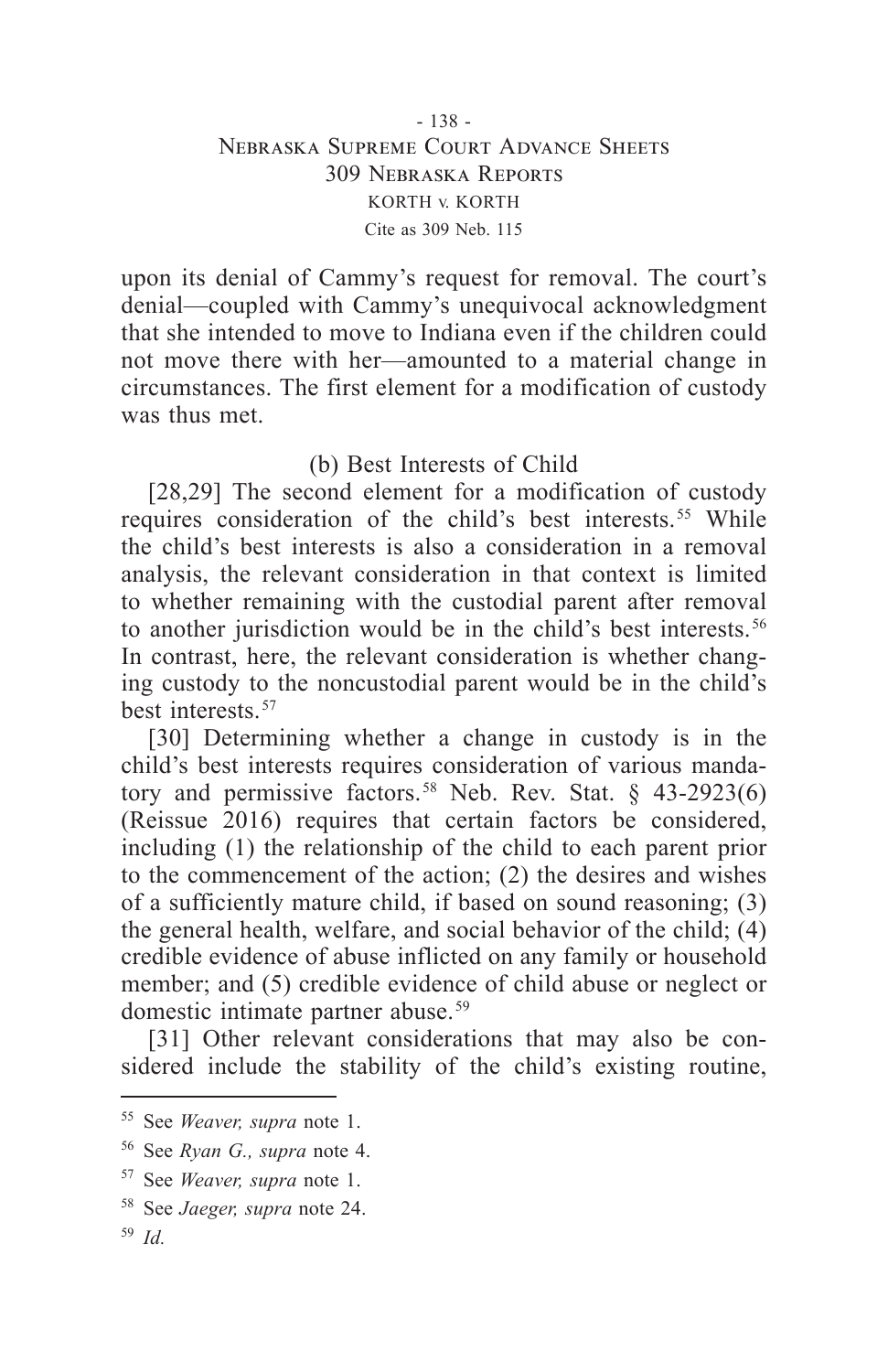# - 138 - Nebraska Supreme Court Advance Sheets 309 Nebraska Reports KORTH v. KORTH Cite as 309 Neb. 115

upon its denial of Cammy's request for removal. The court's denial—coupled with Cammy's unequivocal acknowledgment that she intended to move to Indiana even if the children could not move there with her—amounted to a material change in circumstances. The first element for a modification of custody was thus met.

## (b) Best Interests of Child

[28,29] The second element for a modification of custody requires consideration of the child's best interests. 55 While the child's best interests is also a consideration in a removal analysis, the relevant consideration in that context is limited to whether remaining with the custodial parent after removal to another jurisdiction would be in the child's best interests. 56 In contrast, here, the relevant consideration is whether changing custody to the noncustodial parent would be in the child's best interests. 57

[30] Determining whether a change in custody is in the child's best interests requires consideration of various mandatory and permissive factors.<sup>58</sup> Neb. Rev. Stat.  $\S$  43-2923(6) (Reissue 2016) requires that certain factors be considered, including (1) the relationship of the child to each parent prior to the commencement of the action; (2) the desires and wishes of a sufficiently mature child, if based on sound reasoning; (3) the general health, welfare, and social behavior of the child; (4) credible evidence of abuse inflicted on any family or household member; and (5) credible evidence of child abuse or neglect or domestic intimate partner abuse. 59

[31] Other relevant considerations that may also be considered include the stability of the child's existing routine,

<sup>55</sup> See *Weaver, supra* note 1.

<sup>56</sup> See *Ryan G., supra* note 4.

<sup>57</sup> See *Weaver, supra* note 1.

<sup>58</sup> See *Jaeger, supra* note 24.

<sup>59</sup> *Id.*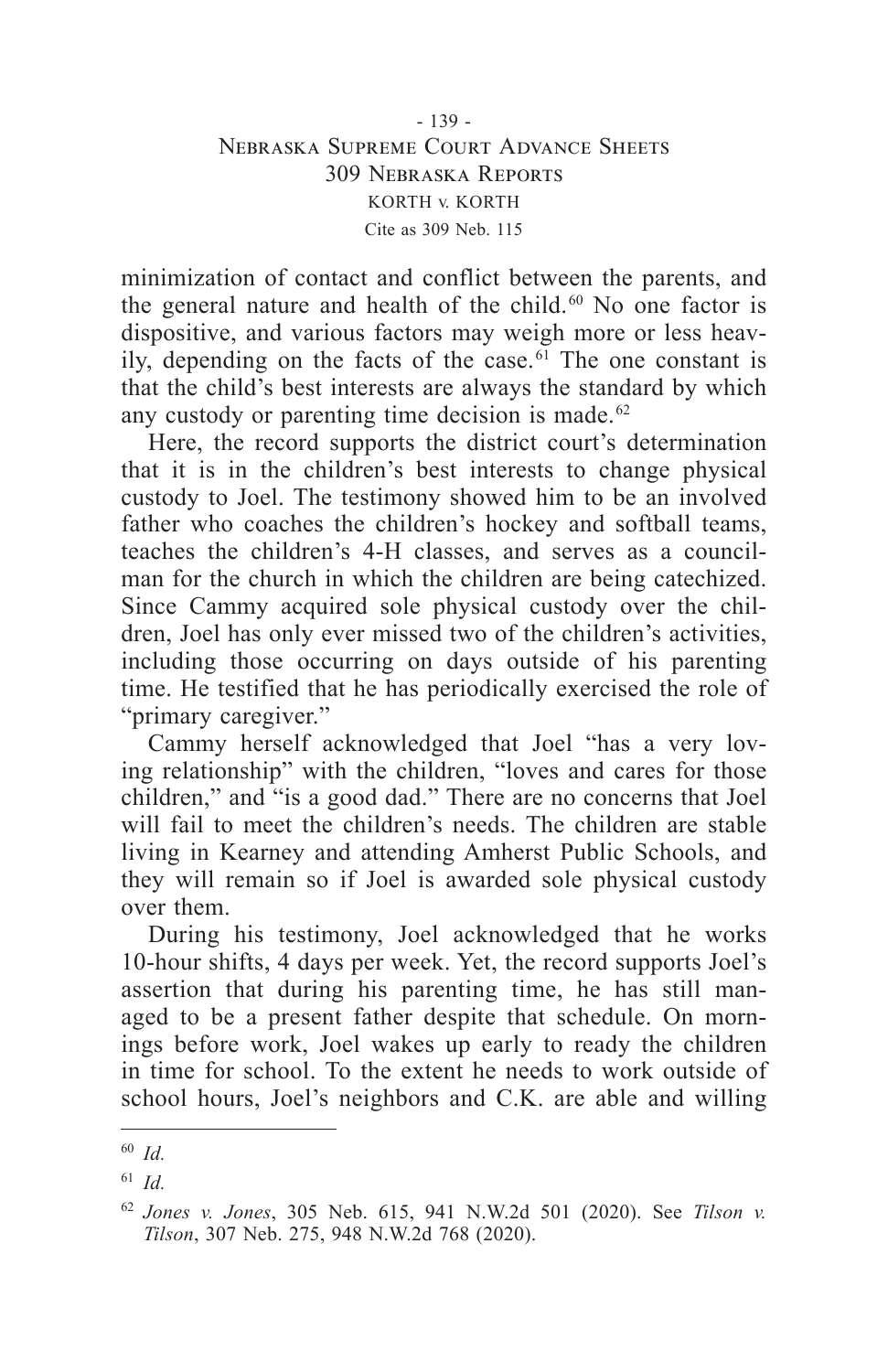# - 139 - Nebraska Supreme Court Advance Sheets 309 Nebraska Reports KORTH v. KORTH Cite as 309 Neb. 115

minimization of contact and conflict between the parents, and the general nature and health of the child. 60 No one factor is dispositive, and various factors may weigh more or less heavily, depending on the facts of the case. 61 The one constant is that the child's best interests are always the standard by which any custody or parenting time decision is made. 62

Here, the record supports the district court's determination that it is in the children's best interests to change physical custody to Joel. The testimony showed him to be an involved father who coaches the children's hockey and softball teams, teaches the children's 4-H classes, and serves as a councilman for the church in which the children are being catechized. Since Cammy acquired sole physical custody over the children, Joel has only ever missed two of the children's activities, including those occurring on days outside of his parenting time. He testified that he has periodically exercised the role of "primary caregiver."

Cammy herself acknowledged that Joel "has a very loving relationship" with the children, "loves and cares for those children," and "is a good dad." There are no concerns that Joel will fail to meet the children's needs. The children are stable living in Kearney and attending Amherst Public Schools, and they will remain so if Joel is awarded sole physical custody over them.

During his testimony, Joel acknowledged that he works 10-hour shifts, 4 days per week. Yet, the record supports Joel's assertion that during his parenting time, he has still managed to be a present father despite that schedule. On mornings before work, Joel wakes up early to ready the children in time for school. To the extent he needs to work outside of school hours, Joel's neighbors and C.K. are able and willing

<sup>60</sup> *Id.*

<sup>61</sup> *Id.*

<sup>62</sup> *Jones v. Jones*, 305 Neb. 615, 941 N.W.2d 501 (2020). See *Tilson v. Tilson*, 307 Neb. 275, 948 N.W.2d 768 (2020).